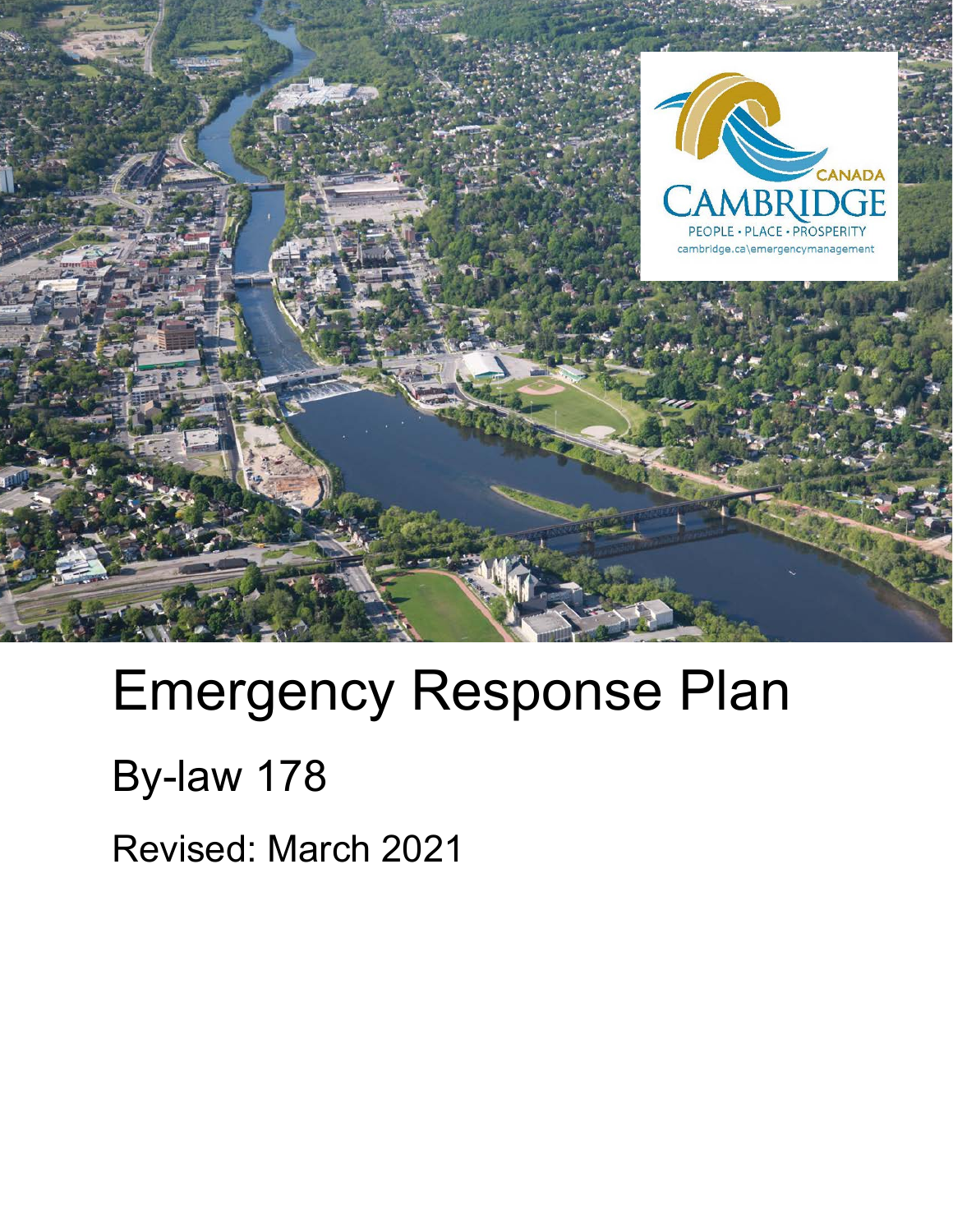

# Emergency Response Plan

## By-law 178

Revised: March 2021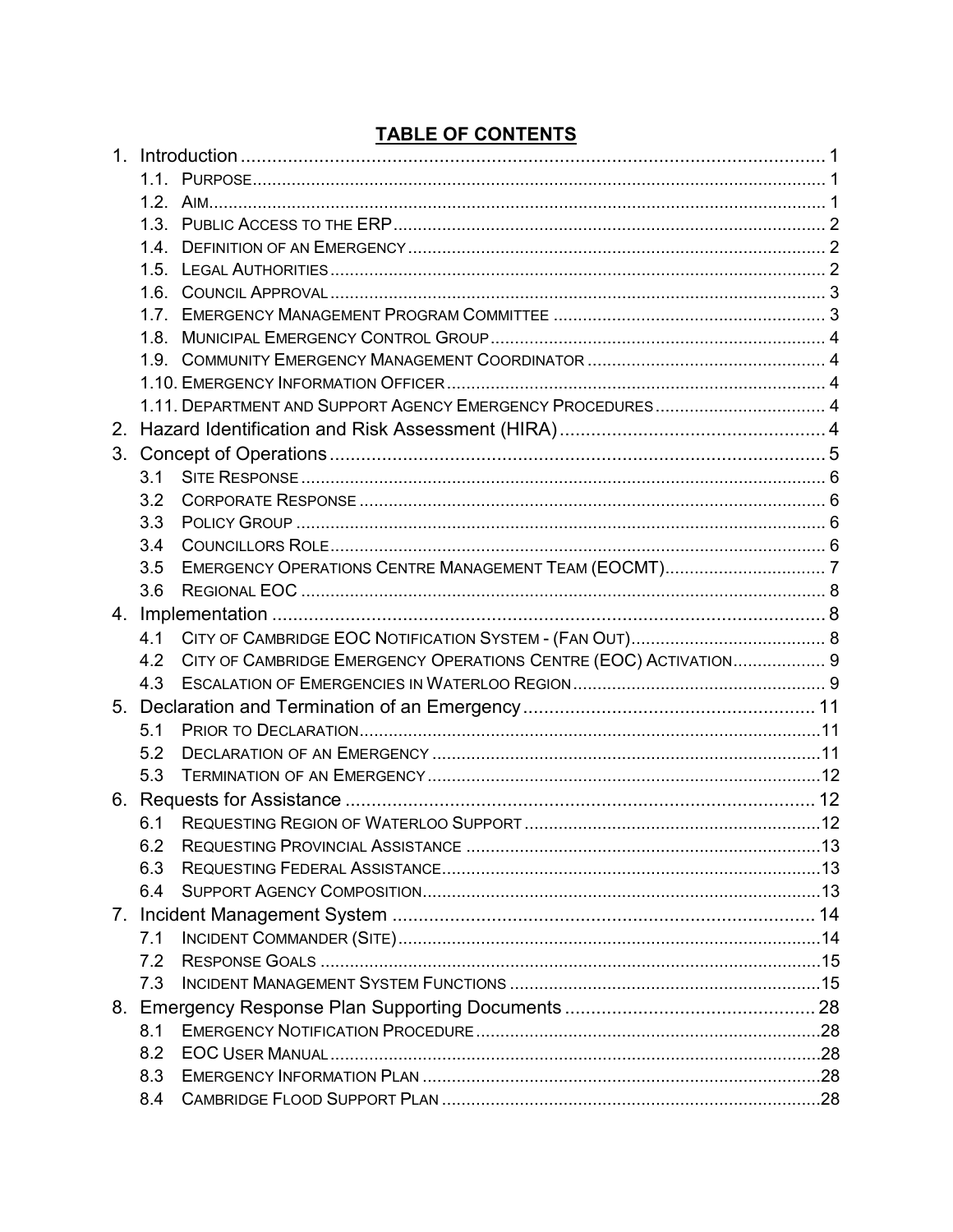#### 1.10 EMERGENCY INFORMATION OFFICER 4  $31$  $3.3$  $3.4^{\circ}$  $3.5$  $4.2$ CITY OF CAMBRIDGE EMERGENCY OPERATIONS CENTRE (EOC) ACTIVATION................... 9  $51$  $5.2$  $5.3$  $6.1$  $6.2$ REQUESTING FEDERAL ASSISTANCE 1999 13 6.3  $6.4$  $71$  $8.1$  $8.2$ 8.3

#### **TABLE OF CONTENTS**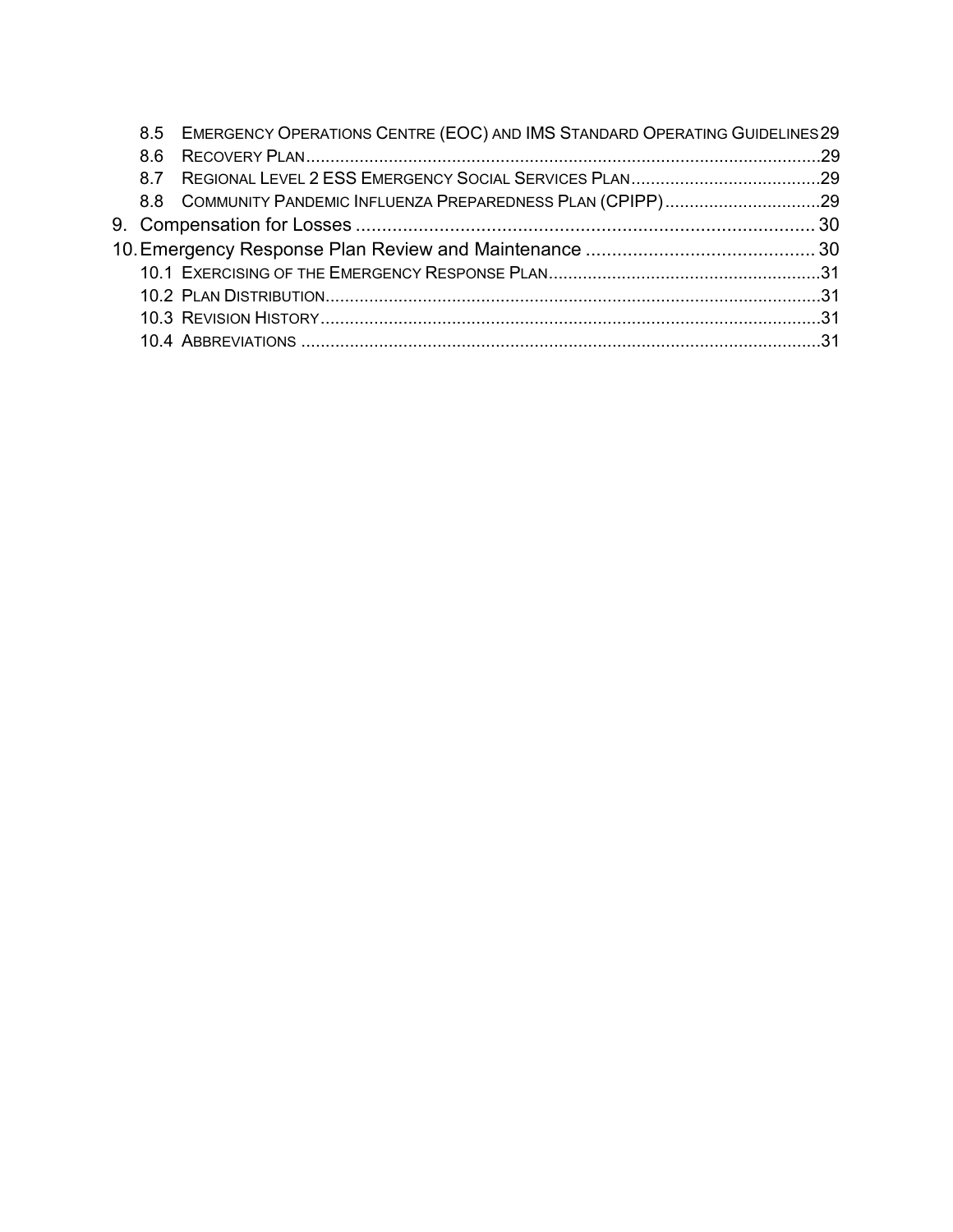|     | 8.5 EMERGENCY OPERATIONS CENTRE (EOC) AND IMS STANDARD OPERATING GUIDELINES 29 |  |
|-----|--------------------------------------------------------------------------------|--|
| 8.6 |                                                                                |  |
|     |                                                                                |  |
|     | 8.8 COMMUNITY PANDEMIC INFLUENZA PREPAREDNESS PLAN (CPIPP)29                   |  |
|     |                                                                                |  |
|     |                                                                                |  |
|     |                                                                                |  |
|     |                                                                                |  |
|     |                                                                                |  |
|     |                                                                                |  |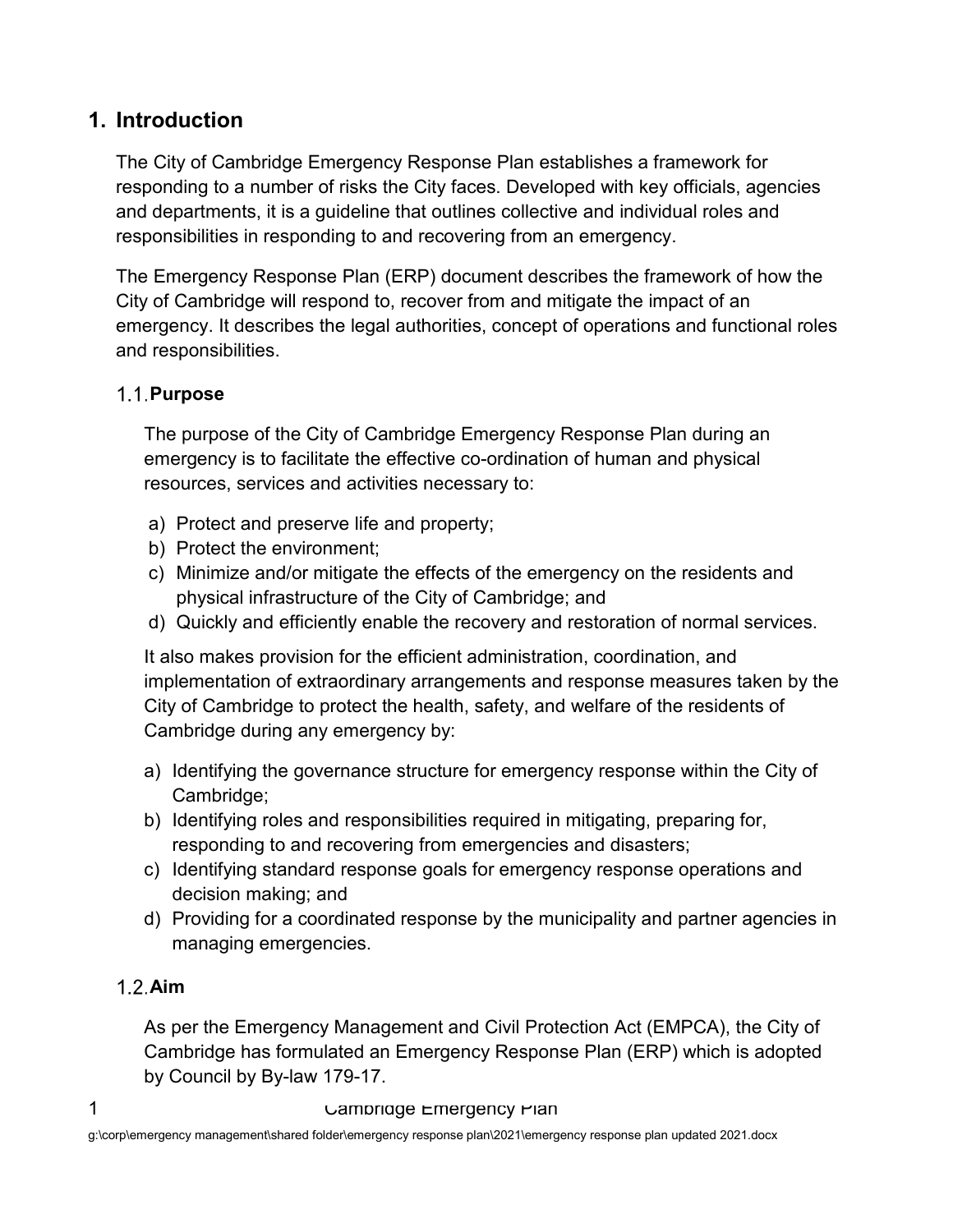#### <span id="page-3-0"></span>**1. Introduction**

The City of Cambridge Emergency Response Plan establishes a framework for responding to a number of risks the City faces. Developed with key officials, agencies and departments, it is a guideline that outlines collective and individual roles and responsibilities in responding to and recovering from an emergency.

The Emergency Response Plan (ERP) document describes the framework of how the City of Cambridge will respond to, recover from and mitigate the impact of an emergency. It describes the legal authorities, concept of operations and functional roles and responsibilities.

#### <span id="page-3-1"></span>**Purpose**

The purpose of the City of Cambridge Emergency Response Plan during an emergency is to facilitate the effective co-ordination of human and physical resources, services and activities necessary to:

- a) Protect and preserve life and property;
- b) Protect the environment;
- c) Minimize and/or mitigate the effects of the emergency on the residents and physical infrastructure of the City of Cambridge; and
- d) Quickly and efficiently enable the recovery and restoration of normal services.

It also makes provision for the efficient administration, coordination, and implementation of extraordinary arrangements and response measures taken by the City of Cambridge to protect the health, safety, and welfare of the residents of Cambridge during any emergency by:

- a) Identifying the governance structure for emergency response within the City of Cambridge;
- b) Identifying roles and responsibilities required in mitigating, preparing for, responding to and recovering from emergencies and disasters;
- c) Identifying standard response goals for emergency response operations and decision making; and
- d) Providing for a coordinated response by the municipality and partner agencies in managing emergencies.

#### <span id="page-3-2"></span>**Aim**

As per the Emergency Management and Civil Protection Act (EMPCA), the City of Cambridge has formulated an Emergency Response Plan (ERP) which is adopted by Council by By-law 179-17.

#### 1 Campridge Emergency Plan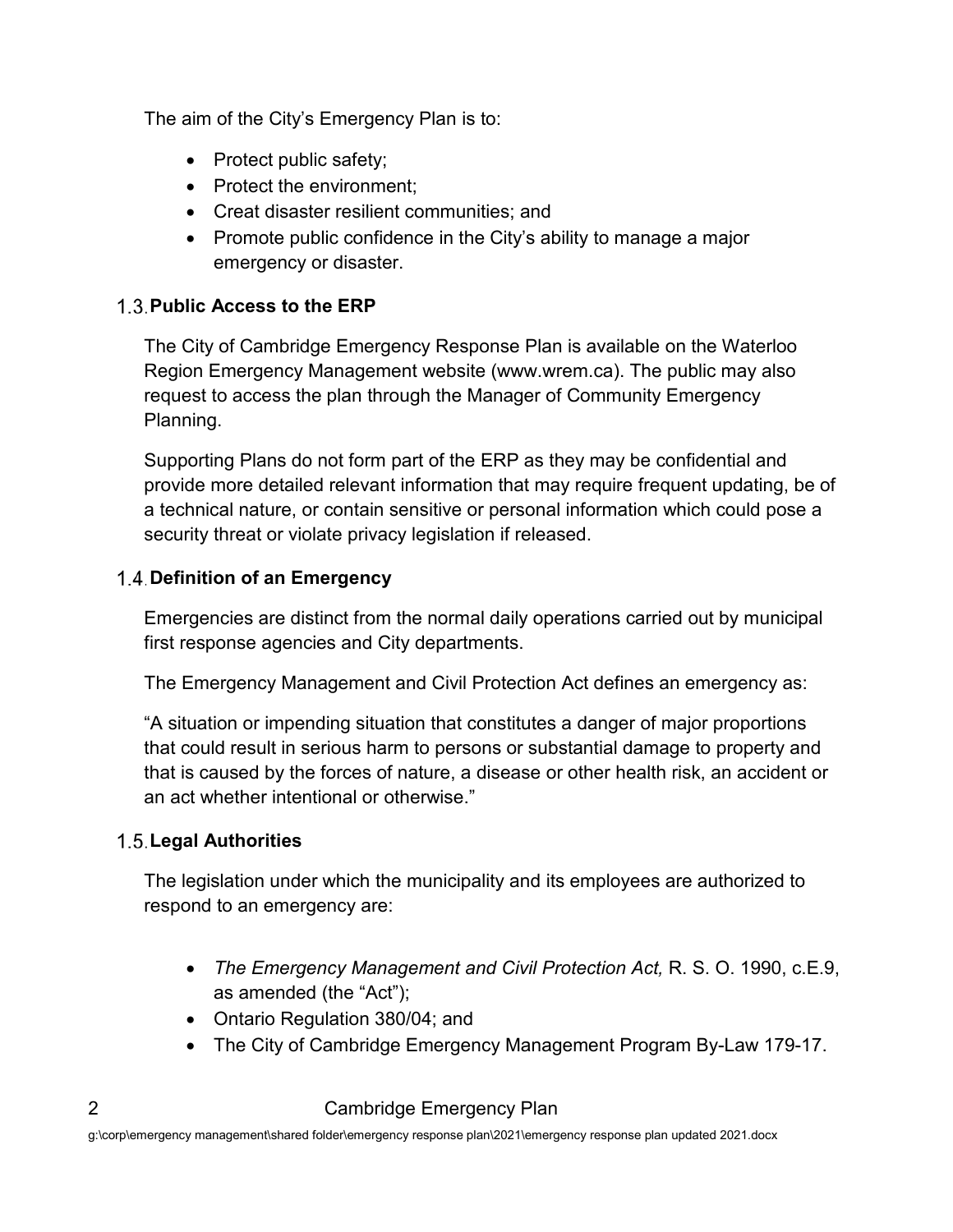The aim of the City's Emergency Plan is to:

- Protect public safety;
- Protect the environment;
- Creat disaster resilient communities; and
- Promote public confidence in the City's ability to manage a major emergency or disaster.

#### <span id="page-4-0"></span>**Public Access to the ERP**

The City of Cambridge Emergency Response Plan is available on the Waterloo Region Emergency Management website (www.wrem.ca). The public may also request to access the plan through the Manager of Community Emergency Planning.

Supporting Plans do not form part of the ERP as they may be confidential and provide more detailed relevant information that may require frequent updating, be of a technical nature, or contain sensitive or personal information which could pose a security threat or violate privacy legislation if released.

#### <span id="page-4-1"></span>**Definition of an Emergency**

Emergencies are distinct from the normal daily operations carried out by municipal first response agencies and City departments.

The Emergency Management and Civil Protection Act defines an emergency as:

"A situation or impending situation that constitutes a danger of major proportions that could result in serious harm to persons or substantial damage to property and that is caused by the forces of nature, a disease or other health risk, an accident or an act whether intentional or otherwise."

#### <span id="page-4-2"></span>**Legal Authorities**

The legislation under which the municipality and its employees are authorized to respond to an emergency are:

- *The Emergency Management and Civil Protection Act,* R. S. O. 1990, c.E.9, as amended (the "Act");
- Ontario Regulation 380/04; and
- The City of Cambridge Emergency Management Program By-Law 179-17.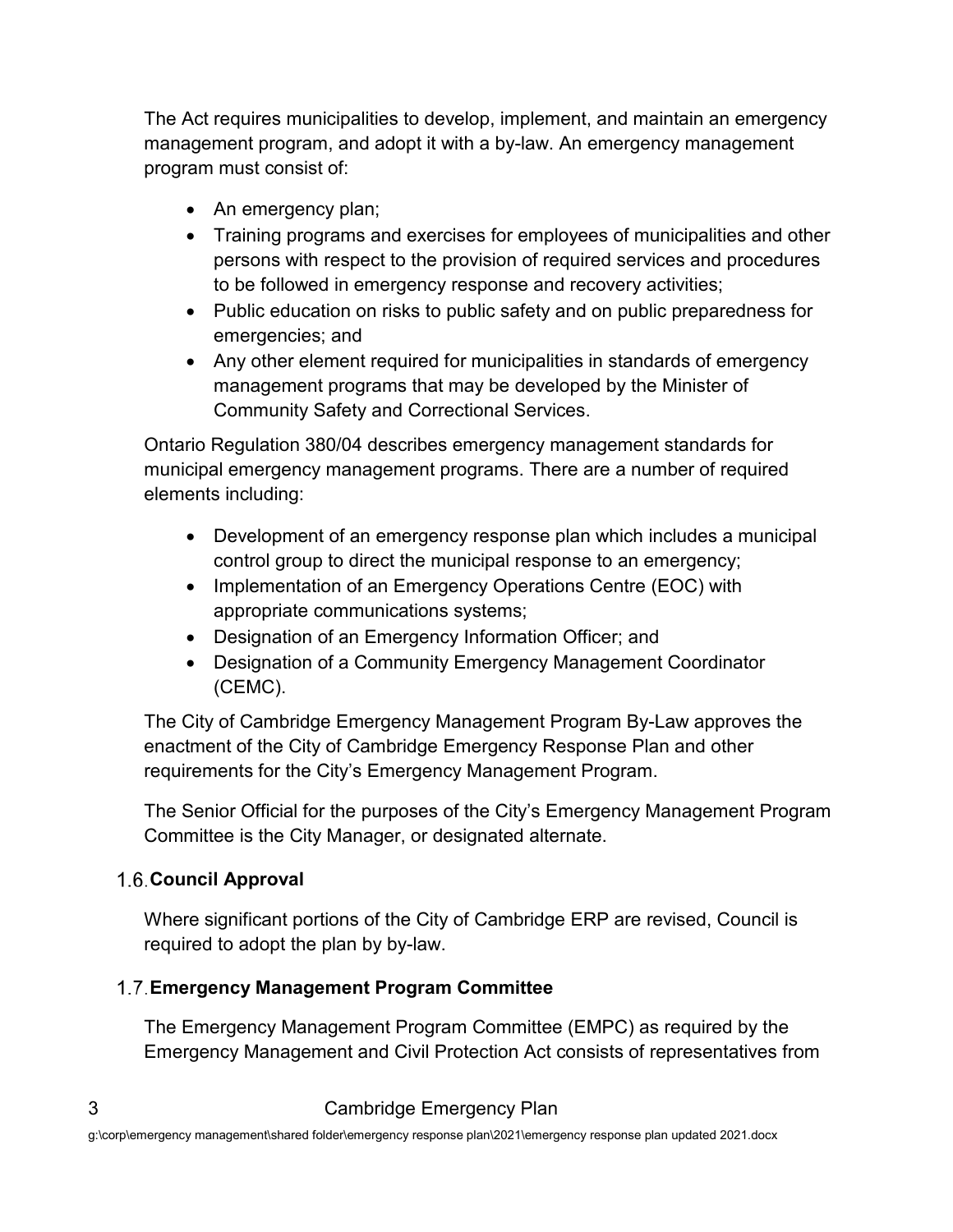The Act requires municipalities to develop, implement, and maintain an emergency management program, and adopt it with a by-law. An emergency management program must consist of:

- An emergency plan;
- Training programs and exercises for employees of municipalities and other persons with respect to the provision of required services and procedures to be followed in emergency response and recovery activities;
- Public education on risks to public safety and on public preparedness for emergencies; and
- Any other element required for municipalities in standards of emergency management programs that may be developed by the Minister of Community Safety and Correctional Services.

Ontario Regulation 380/04 describes emergency management standards for municipal emergency management programs. There are a number of required elements including:

- Development of an emergency response plan which includes a municipal control group to direct the municipal response to an emergency;
- Implementation of an Emergency Operations Centre (EOC) with appropriate communications systems;
- Designation of an Emergency Information Officer; and
- Designation of a Community Emergency Management Coordinator (CEMC).

The City of Cambridge Emergency Management Program By-Law approves the enactment of the City of Cambridge Emergency Response Plan and other requirements for the City's Emergency Management Program.

The Senior Official for the purposes of the City's Emergency Management Program Committee is the City Manager, or designated alternate.

#### <span id="page-5-0"></span>**Council Approval**

Where significant portions of the City of Cambridge ERP are revised, Council is required to adopt the plan by by-law.

#### <span id="page-5-1"></span>**Emergency Management Program Committee**

The Emergency Management Program Committee (EMPC) as required by the Emergency Management and Civil Protection Act consists of representatives from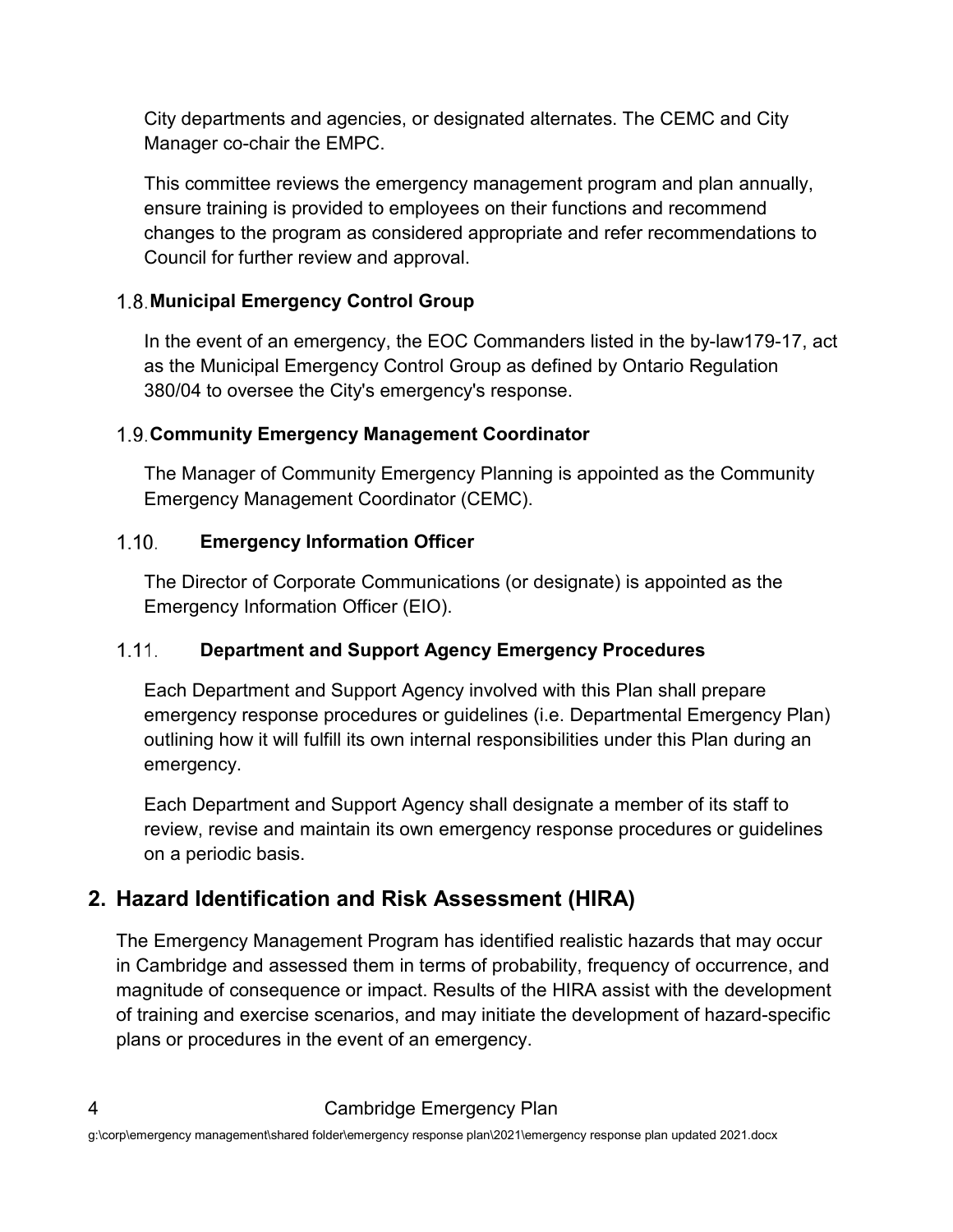City departments and agencies, or designated alternates. The CEMC and City Manager co-chair the EMPC.

This committee reviews the emergency management program and plan annually, ensure training is provided to employees on their functions and recommend changes to the program as considered appropriate and refer recommendations to Council for further review and approval.

#### <span id="page-6-0"></span>**Municipal Emergency Control Group**

In the event of an emergency, the EOC Commanders listed in the by-law179-17, act as the Municipal Emergency Control Group as defined by Ontario Regulation 380/04 to oversee the City's emergency's response.

#### <span id="page-6-1"></span>**Community Emergency Management Coordinator**

The Manager of Community Emergency Planning is appointed as the Community Emergency Management Coordinator (CEMC).

#### <span id="page-6-2"></span> $1.10.$ **Emergency Information Officer**

The Director of Corporate Communications (or designate) is appointed as the Emergency Information Officer (EIO).

#### <span id="page-6-3"></span> $1.11.$ **Department and Support Agency Emergency Procedures**

Each Department and Support Agency involved with this Plan shall prepare emergency response procedures or guidelines (i.e. Departmental Emergency Plan) outlining how it will fulfill its own internal responsibilities under this Plan during an emergency.

Each Department and Support Agency shall designate a member of its staff to review, revise and maintain its own emergency response procedures or guidelines on a periodic basis.

## <span id="page-6-4"></span>**2. Hazard Identification and Risk Assessment (HIRA)**

The Emergency Management Program has identified realistic hazards that may occur in Cambridge and assessed them in terms of probability, frequency of occurrence, and magnitude of consequence or impact. Results of the HIRA assist with the development of training and exercise scenarios, and may initiate the development of hazard-specific plans or procedures in the event of an emergency.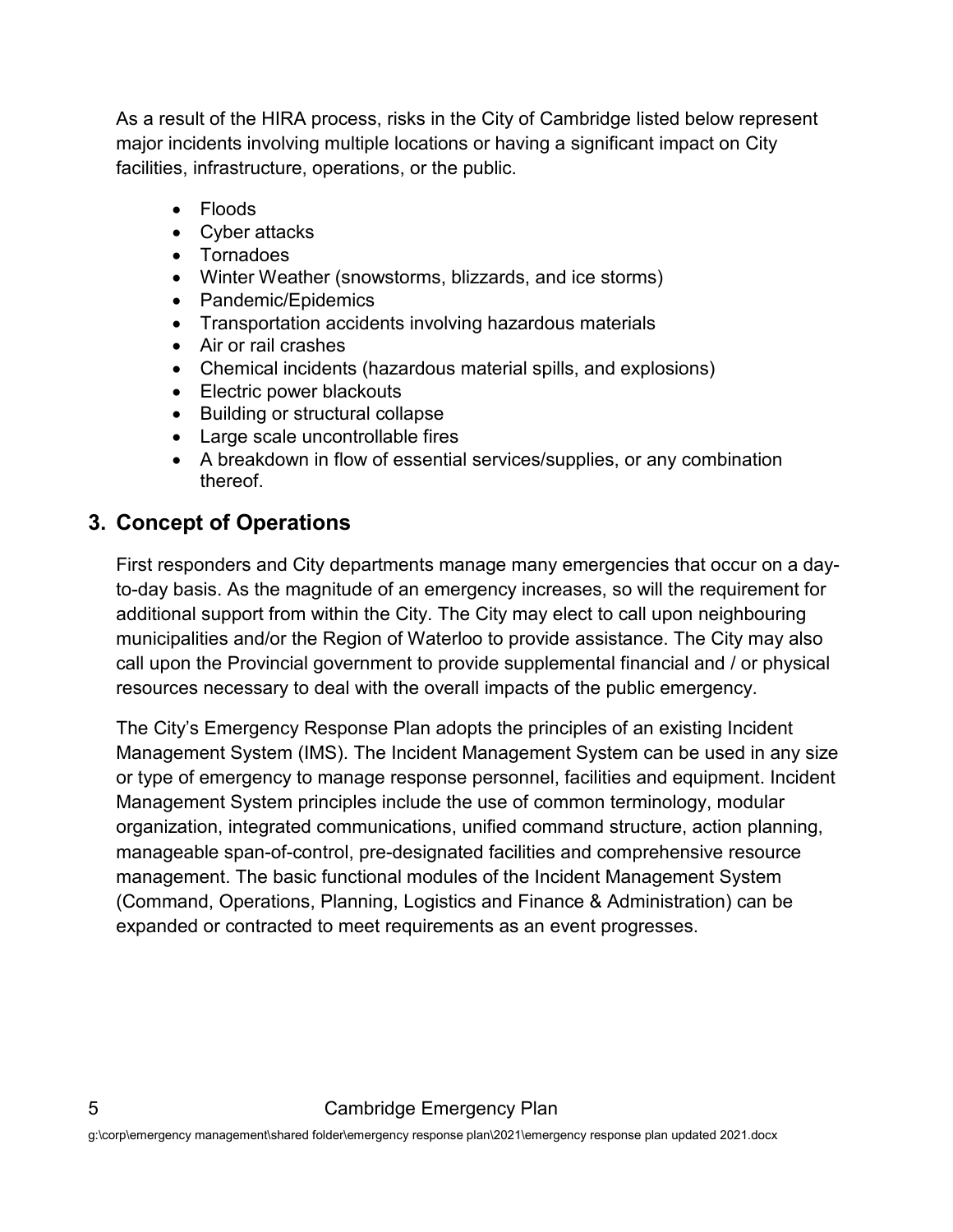As a result of the HIRA process, risks in the City of Cambridge listed below represent major incidents involving multiple locations or having a significant impact on City facilities, infrastructure, operations, or the public.

- Floods
- Cyber attacks
- Tornadoes
- Winter Weather (snowstorms, blizzards, and ice storms)
- Pandemic/Epidemics
- Transportation accidents involving hazardous materials
- Air or rail crashes
- Chemical incidents (hazardous material spills, and explosions)
- Electric power blackouts
- Building or structural collapse
- Large scale uncontrollable fires
- A breakdown in flow of essential services/supplies, or any combination thereof.

#### <span id="page-7-0"></span>**3. Concept of Operations**

First responders and City departments manage many emergencies that occur on a dayto-day basis. As the magnitude of an emergency increases, so will the requirement for additional support from within the City. The City may elect to call upon neighbouring municipalities and/or the Region of Waterloo to provide assistance. The City may also call upon the Provincial government to provide supplemental financial and / or physical resources necessary to deal with the overall impacts of the public emergency.

The City's Emergency Response Plan adopts the principles of an existing Incident Management System (IMS). The Incident Management System can be used in any size or type of emergency to manage response personnel, facilities and equipment. Incident Management System principles include the use of common terminology, modular organization, integrated communications, unified command structure, action planning, manageable span-of-control, pre-designated facilities and comprehensive resource management. The basic functional modules of the Incident Management System (Command, Operations, Planning, Logistics and Finance & Administration) can be expanded or contracted to meet requirements as an event progresses.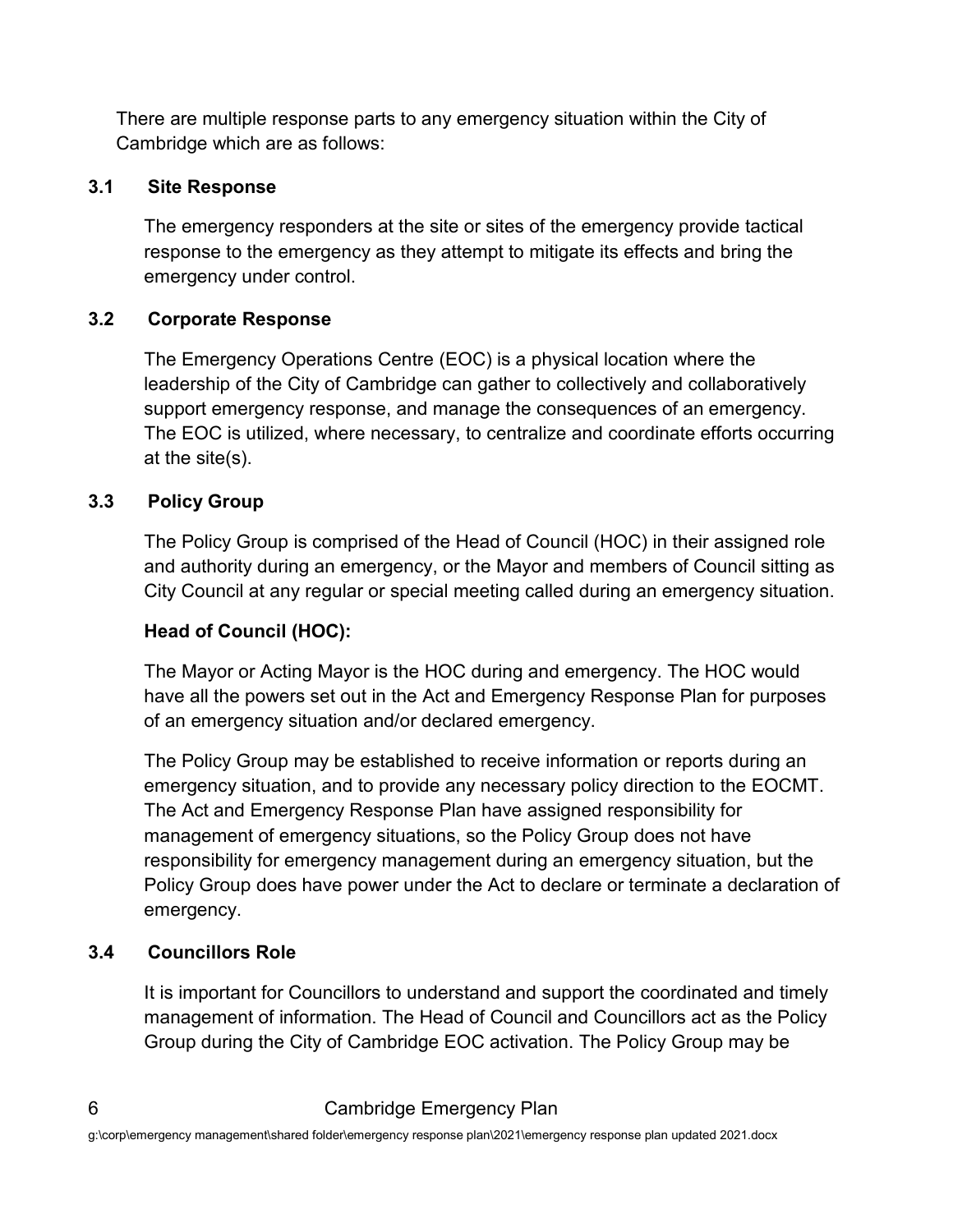There are multiple response parts to any emergency situation within the City of Cambridge which are as follows:

#### <span id="page-8-0"></span>**3.1 Site Response**

The emergency responders at the site or sites of the emergency provide tactical response to the emergency as they attempt to mitigate its effects and bring the emergency under control.

#### <span id="page-8-1"></span>**3.2 Corporate Response**

The Emergency Operations Centre (EOC) is a physical location where the leadership of the City of Cambridge can gather to collectively and collaboratively support emergency response, and manage the consequences of an emergency. The EOC is utilized, where necessary, to centralize and coordinate efforts occurring at the site(s).

#### <span id="page-8-2"></span>**3.3 Policy Group**

The Policy Group is comprised of the Head of Council (HOC) in their assigned role and authority during an emergency, or the Mayor and members of Council sitting as City Council at any regular or special meeting called during an emergency situation.

#### **Head of Council (HOC):**

The Mayor or Acting Mayor is the HOC during and emergency. The HOC would have all the powers set out in the Act and Emergency Response Plan for purposes of an emergency situation and/or declared emergency.

The Policy Group may be established to receive information or reports during an emergency situation, and to provide any necessary policy direction to the EOCMT. The Act and Emergency Response Plan have assigned responsibility for management of emergency situations, so the Policy Group does not have responsibility for emergency management during an emergency situation, but the Policy Group does have power under the Act to declare or terminate a declaration of emergency.

#### <span id="page-8-3"></span>**3.4 Councillors Role**

It is important for Councillors to understand and support the coordinated and timely management of information. The Head of Council and Councillors act as the Policy Group during the City of Cambridge EOC activation. The Policy Group may be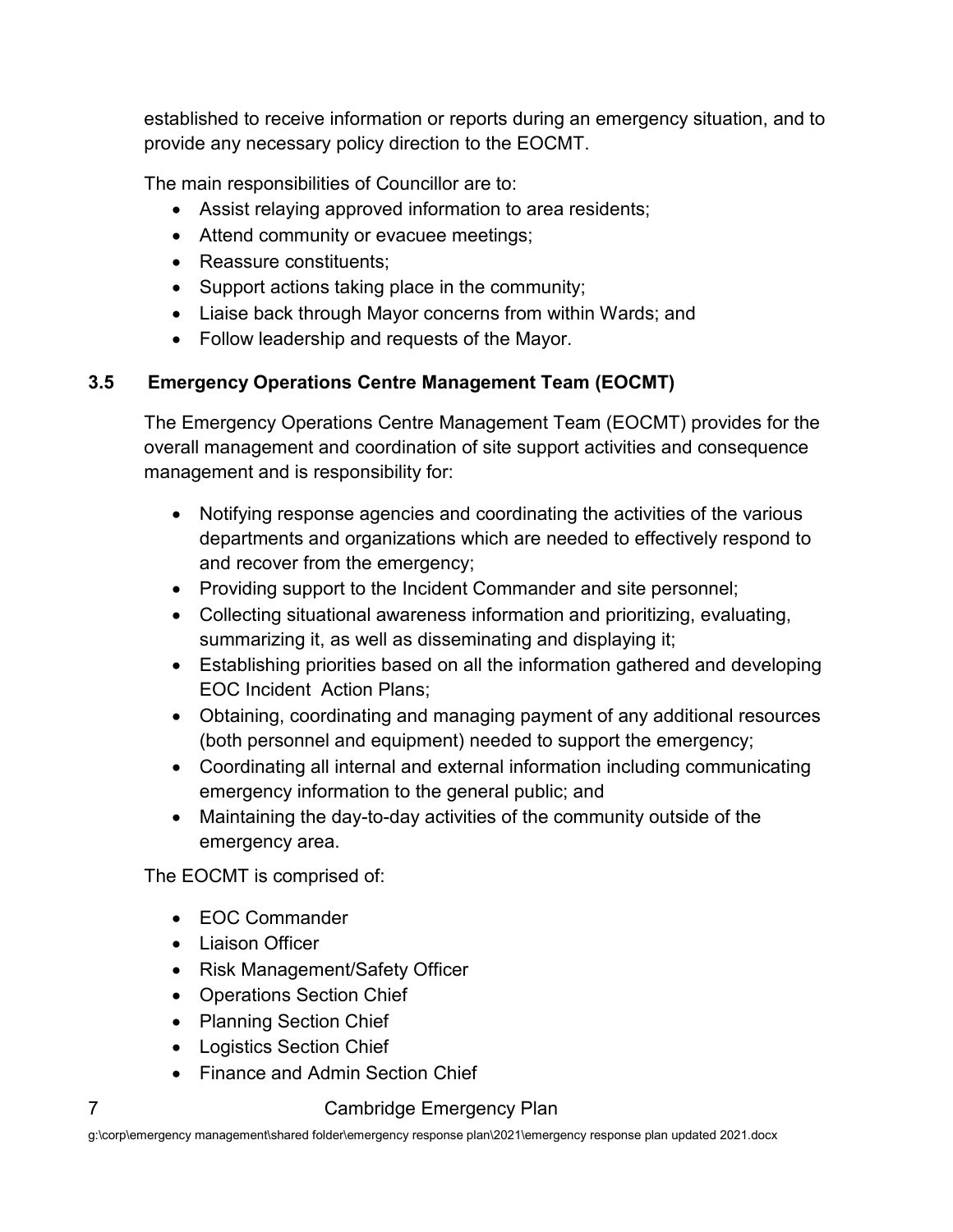established to receive information or reports during an emergency situation, and to provide any necessary policy direction to the EOCMT.

The main responsibilities of Councillor are to:

- Assist relaying approved information to area residents;
- Attend community or evacuee meetings;
- Reassure constituents:
- Support actions taking place in the community;
- Liaise back through Mayor concerns from within Wards; and
- Follow leadership and requests of the Mayor.

#### <span id="page-9-0"></span>**3.5 Emergency Operations Centre Management Team (EOCMT)**

The Emergency Operations Centre Management Team (EOCMT) provides for the overall management and coordination of site support activities and consequence management and is responsibility for:

- Notifying response agencies and coordinating the activities of the various departments and organizations which are needed to effectively respond to and recover from the emergency;
- Providing support to the Incident Commander and site personnel;
- Collecting situational awareness information and prioritizing, evaluating, summarizing it, as well as disseminating and displaying it;
- Establishing priorities based on all the information gathered and developing EOC Incident Action Plans;
- Obtaining, coordinating and managing payment of any additional resources (both personnel and equipment) needed to support the emergency;
- Coordinating all internal and external information including communicating emergency information to the general public; and
- Maintaining the day-to-day activities of the community outside of the emergency area.

The EOCMT is comprised of:

- EOC Commander
- Liaison Officer
- Risk Management/Safety Officer
- Operations Section Chief
- Planning Section Chief
- Logistics Section Chief
- Finance and Admin Section Chief

#### 7 Cambridge Emergency Plan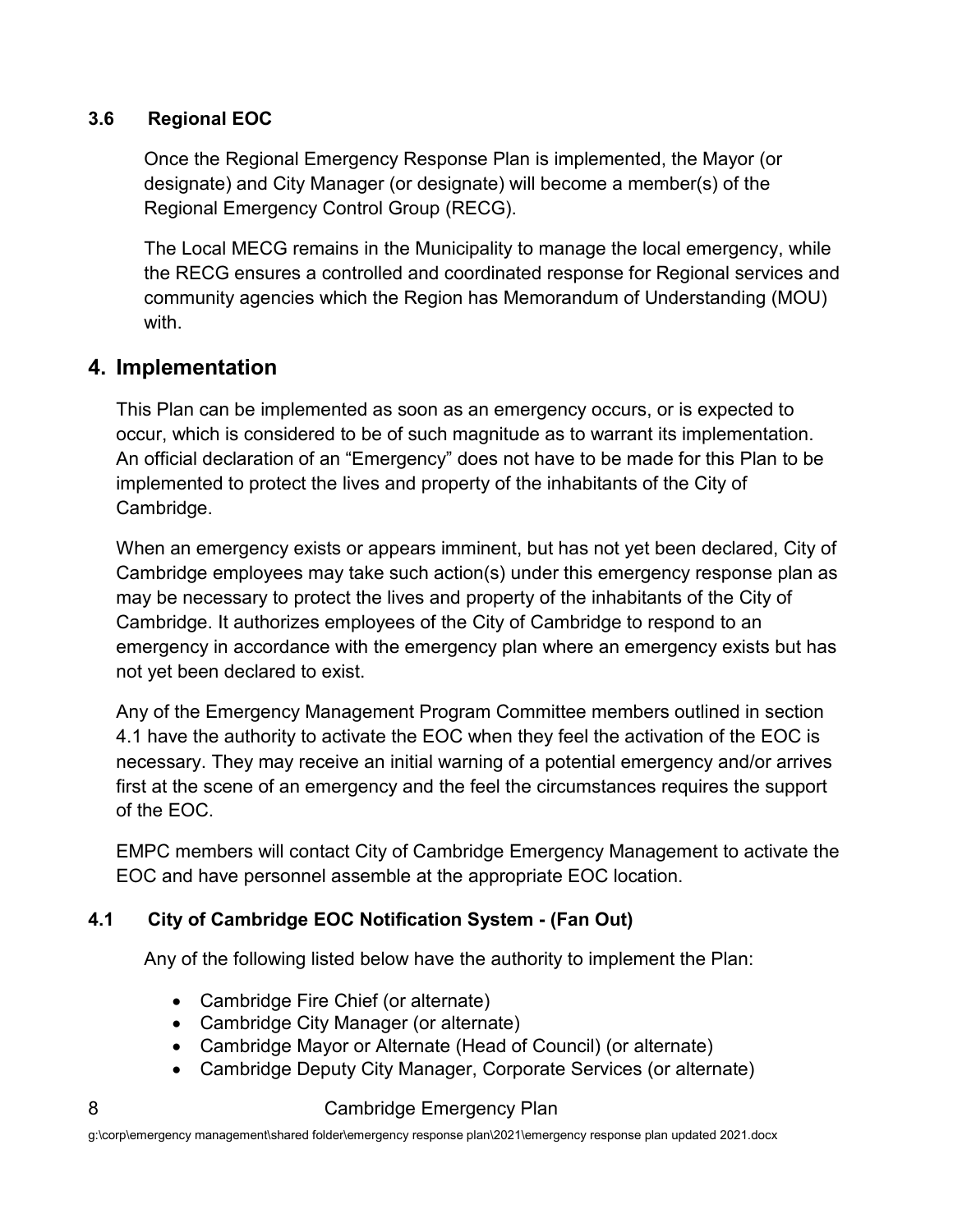#### <span id="page-10-0"></span>**3.6 Regional EOC**

Once the Regional Emergency Response Plan is implemented, the Mayor (or designate) and City Manager (or designate) will become a member(s) of the Regional Emergency Control Group (RECG).

The Local MECG remains in the Municipality to manage the local emergency, while the RECG ensures a controlled and coordinated response for Regional services and community agencies which the Region has Memorandum of Understanding (MOU) with.

#### <span id="page-10-1"></span>**4. Implementation**

This Plan can be implemented as soon as an emergency occurs, or is expected to occur, which is considered to be of such magnitude as to warrant its implementation. An official declaration of an "Emergency" does not have to be made for this Plan to be implemented to protect the lives and property of the inhabitants of the City of Cambridge.

When an emergency exists or appears imminent, but has not yet been declared, City of Cambridge employees may take such action(s) under this emergency response plan as may be necessary to protect the lives and property of the inhabitants of the City of Cambridge. It authorizes employees of the City of Cambridge to respond to an emergency in accordance with the emergency plan where an emergency exists but has not yet been declared to exist.

Any of the Emergency Management Program Committee members outlined in section 4.1 have the authority to activate the EOC when they feel the activation of the EOC is necessary. They may receive an initial warning of a potential emergency and/or arrives first at the scene of an emergency and the feel the circumstances requires the support of the EOC.

EMPC members will contact City of Cambridge Emergency Management to activate the EOC and have personnel assemble at the appropriate EOC location.

#### <span id="page-10-2"></span>**4.1 City of Cambridge EOC Notification System - (Fan Out)**

Any of the following listed below have the authority to implement the Plan:

- Cambridge Fire Chief (or alternate)
- Cambridge City Manager (or alternate)
- Cambridge Mayor or Alternate (Head of Council) (or alternate)
- Cambridge Deputy City Manager, Corporate Services (or alternate)

#### 8 **Cambridge Emergency Plan**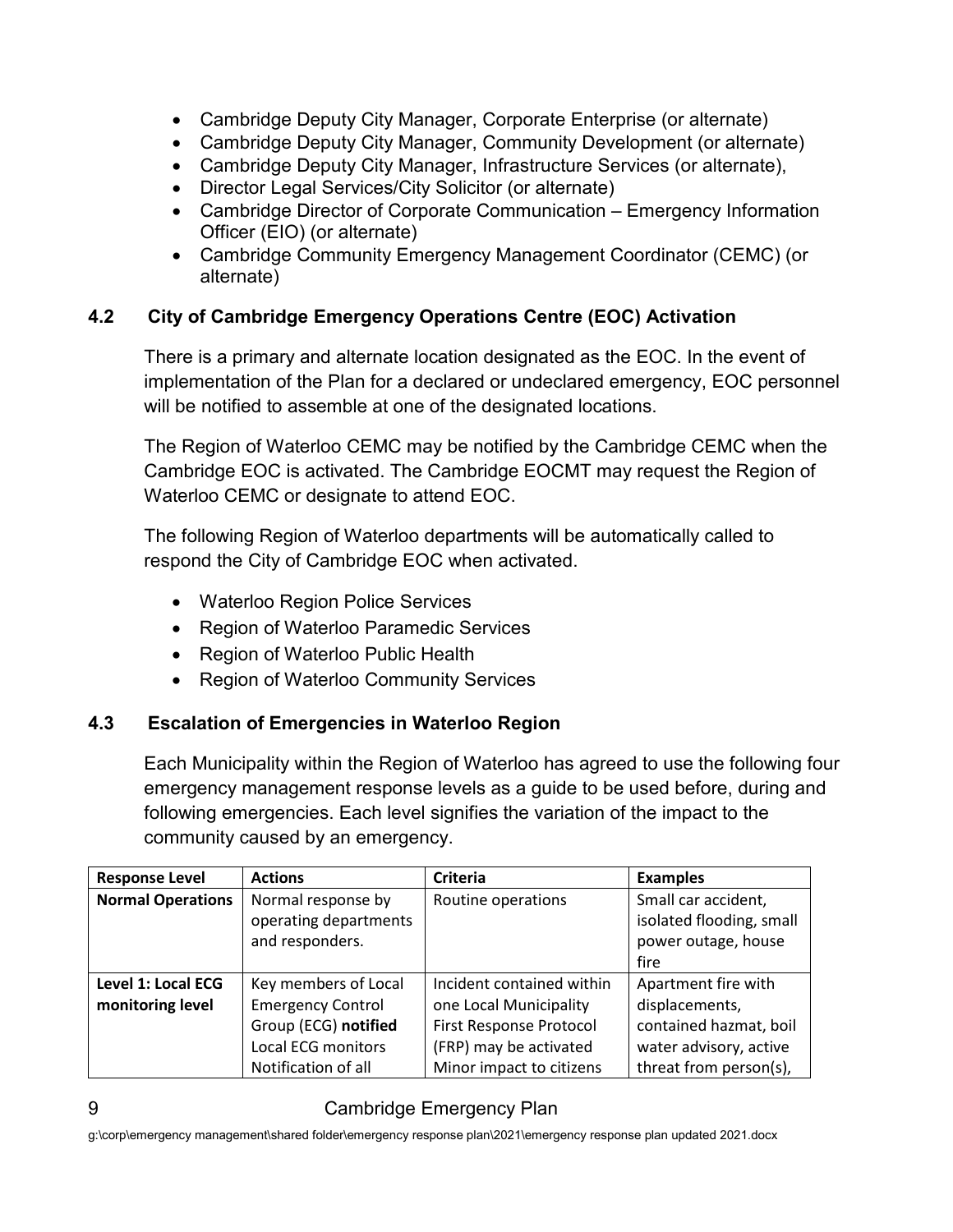- Cambridge Deputy City Manager, Corporate Enterprise (or alternate)
- Cambridge Deputy City Manager, Community Development (or alternate)
- Cambridge Deputy City Manager, Infrastructure Services (or alternate),
- Director Legal Services/City Solicitor (or alternate)
- Cambridge Director of Corporate Communication Emergency Information Officer (EIO) (or alternate)
- Cambridge Community Emergency Management Coordinator (CEMC) (or alternate)

#### <span id="page-11-0"></span>**4.2 City of Cambridge Emergency Operations Centre (EOC) Activation**

There is a primary and alternate location designated as the EOC. In the event of implementation of the Plan for a declared or undeclared emergency, EOC personnel will be notified to assemble at one of the designated locations.

The Region of Waterloo CEMC may be notified by the Cambridge CEMC when the Cambridge EOC is activated. The Cambridge EOCMT may request the Region of Waterloo CEMC or designate to attend EOC.

The following Region of Waterloo departments will be automatically called to respond the City of Cambridge EOC when activated.

- Waterloo Region Police Services
- Region of Waterloo Paramedic Services
- Region of Waterloo Public Health
- Region of Waterloo Community Services

#### <span id="page-11-1"></span>**4.3 Escalation of Emergencies in Waterloo Region**

Each Municipality within the Region of Waterloo has agreed to use the following four emergency management response levels as a guide to be used before, during and following emergencies. Each level signifies the variation of the impact to the community caused by an emergency.

| <b>Response Level</b>                  | <b>Actions</b>                                                                                                               | <b>Criteria</b>                                                                                                                      | <b>Examples</b>                                                                                                     |
|----------------------------------------|------------------------------------------------------------------------------------------------------------------------------|--------------------------------------------------------------------------------------------------------------------------------------|---------------------------------------------------------------------------------------------------------------------|
| <b>Normal Operations</b>               | Normal response by<br>operating departments<br>and responders.                                                               | Routine operations                                                                                                                   | Small car accident,<br>isolated flooding, small<br>power outage, house<br>fire                                      |
| Level 1: Local ECG<br>monitoring level | Key members of Local<br><b>Emergency Control</b><br>Group (ECG) notified<br><b>Local ECG monitors</b><br>Notification of all | Incident contained within<br>one Local Municipality<br>First Response Protocol<br>(FRP) may be activated<br>Minor impact to citizens | Apartment fire with<br>displacements,<br>contained hazmat, boil<br>water advisory, active<br>threat from person(s), |

#### 9 Cambridge Emergency Plan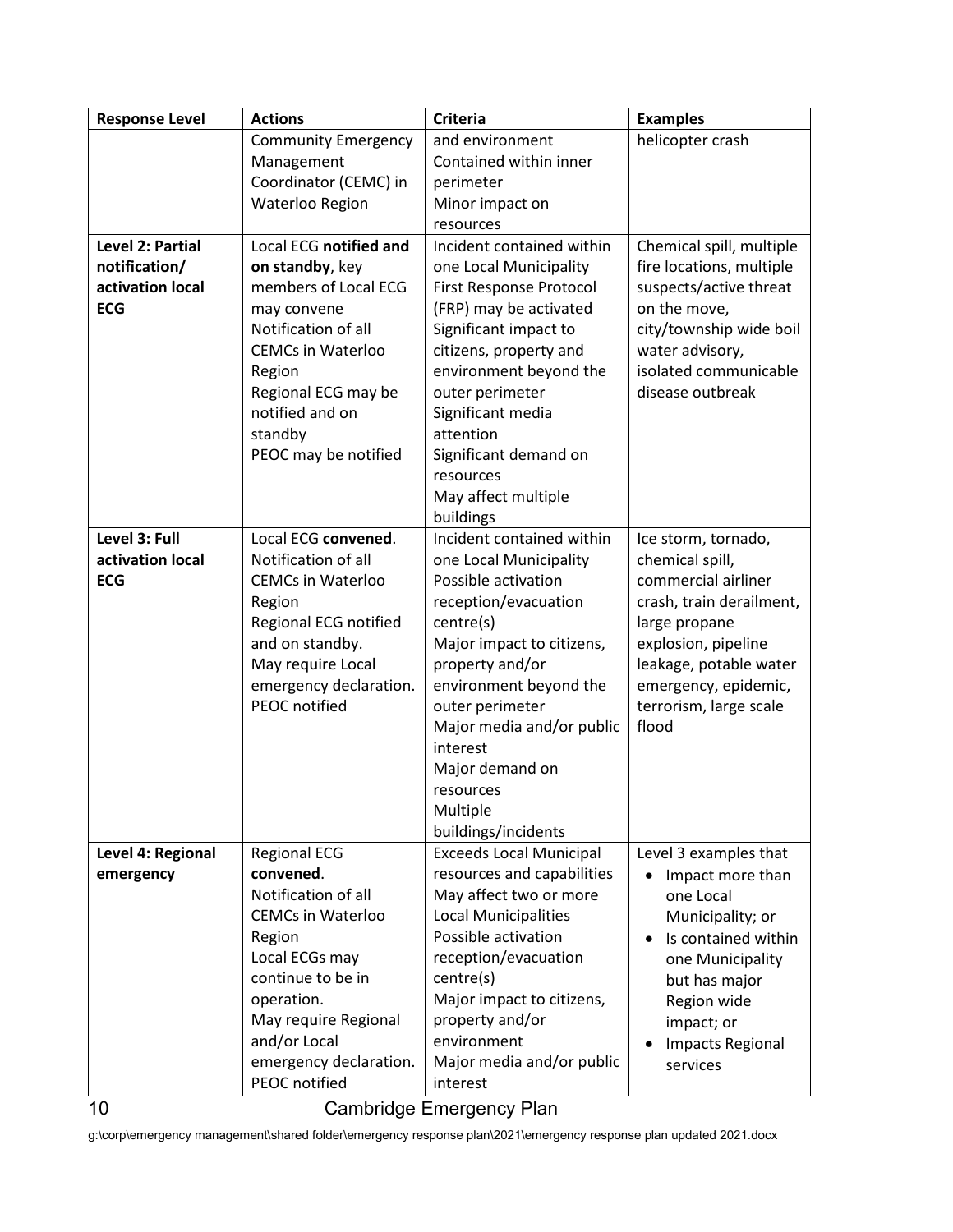| <b>Response Level</b> | <b>Actions</b>                              | <b>Criteria</b>                           | <b>Examples</b>                                |
|-----------------------|---------------------------------------------|-------------------------------------------|------------------------------------------------|
|                       | <b>Community Emergency</b>                  | and environment                           | helicopter crash                               |
|                       | Management                                  | Contained within inner                    |                                                |
|                       | Coordinator (CEMC) in                       | perimeter                                 |                                                |
|                       | Waterloo Region                             | Minor impact on                           |                                                |
|                       |                                             | resources                                 |                                                |
| Level 2: Partial      | Local ECG notified and                      | Incident contained within                 | Chemical spill, multiple                       |
| notification/         | on standby, key                             | one Local Municipality                    | fire locations, multiple                       |
| activation local      | members of Local ECG                        | <b>First Response Protocol</b>            | suspects/active threat                         |
| <b>ECG</b>            | may convene                                 | (FRP) may be activated                    | on the move,                                   |
|                       | Notification of all                         | Significant impact to                     | city/township wide boil                        |
|                       | <b>CEMCs in Waterloo</b>                    | citizens, property and                    | water advisory,                                |
|                       | Region                                      | environment beyond the                    | isolated communicable                          |
|                       | Regional ECG may be                         | outer perimeter                           | disease outbreak                               |
|                       | notified and on                             | Significant media                         |                                                |
|                       | standby                                     | attention                                 |                                                |
|                       | PEOC may be notified                        | Significant demand on                     |                                                |
|                       |                                             | resources                                 |                                                |
|                       |                                             | May affect multiple                       |                                                |
|                       |                                             | buildings                                 |                                                |
| Level 3: Full         | Local ECG convened.                         | Incident contained within                 | Ice storm, tornado,                            |
| activation local      | Notification of all                         | one Local Municipality                    | chemical spill,                                |
| <b>ECG</b>            | <b>CEMCs in Waterloo</b>                    | Possible activation                       | commercial airliner                            |
|                       | Region                                      | reception/evacuation                      | crash, train derailment,                       |
|                       | Regional ECG notified                       | centre(s)                                 | large propane                                  |
|                       | and on standby.                             | Major impact to citizens,                 | explosion, pipeline                            |
|                       | May require Local<br>emergency declaration. | property and/or<br>environment beyond the | leakage, potable water<br>emergency, epidemic, |
|                       | <b>PEOC</b> notified                        | outer perimeter                           | terrorism, large scale                         |
|                       |                                             | Major media and/or public                 | flood                                          |
|                       |                                             | interest                                  |                                                |
|                       |                                             | Major demand on                           |                                                |
|                       |                                             | resources                                 |                                                |
|                       |                                             | Multiple                                  |                                                |
|                       |                                             | buildings/incidents                       |                                                |
| Level 4: Regional     | <b>Regional ECG</b>                         | <b>Exceeds Local Municipal</b>            | Level 3 examples that                          |
| emergency             | convened.                                   | resources and capabilities                | Impact more than                               |
|                       | Notification of all                         | May affect two or more                    | one Local                                      |
|                       | <b>CEMCs in Waterloo</b>                    | <b>Local Municipalities</b>               | Municipality; or                               |
|                       | Region                                      | Possible activation                       | Is contained within                            |
|                       | Local ECGs may                              | reception/evacuation                      | one Municipality                               |
|                       | continue to be in                           | centre(s)                                 | but has major                                  |
|                       | operation.                                  | Major impact to citizens,                 | Region wide                                    |
|                       | May require Regional                        | property and/or                           | impact; or                                     |
|                       | and/or Local                                | environment                               | <b>Impacts Regional</b>                        |
|                       | emergency declaration.                      | Major media and/or public                 | services                                       |
|                       | PEOC notified                               | interest                                  |                                                |

10 Cambridge Emergency Plan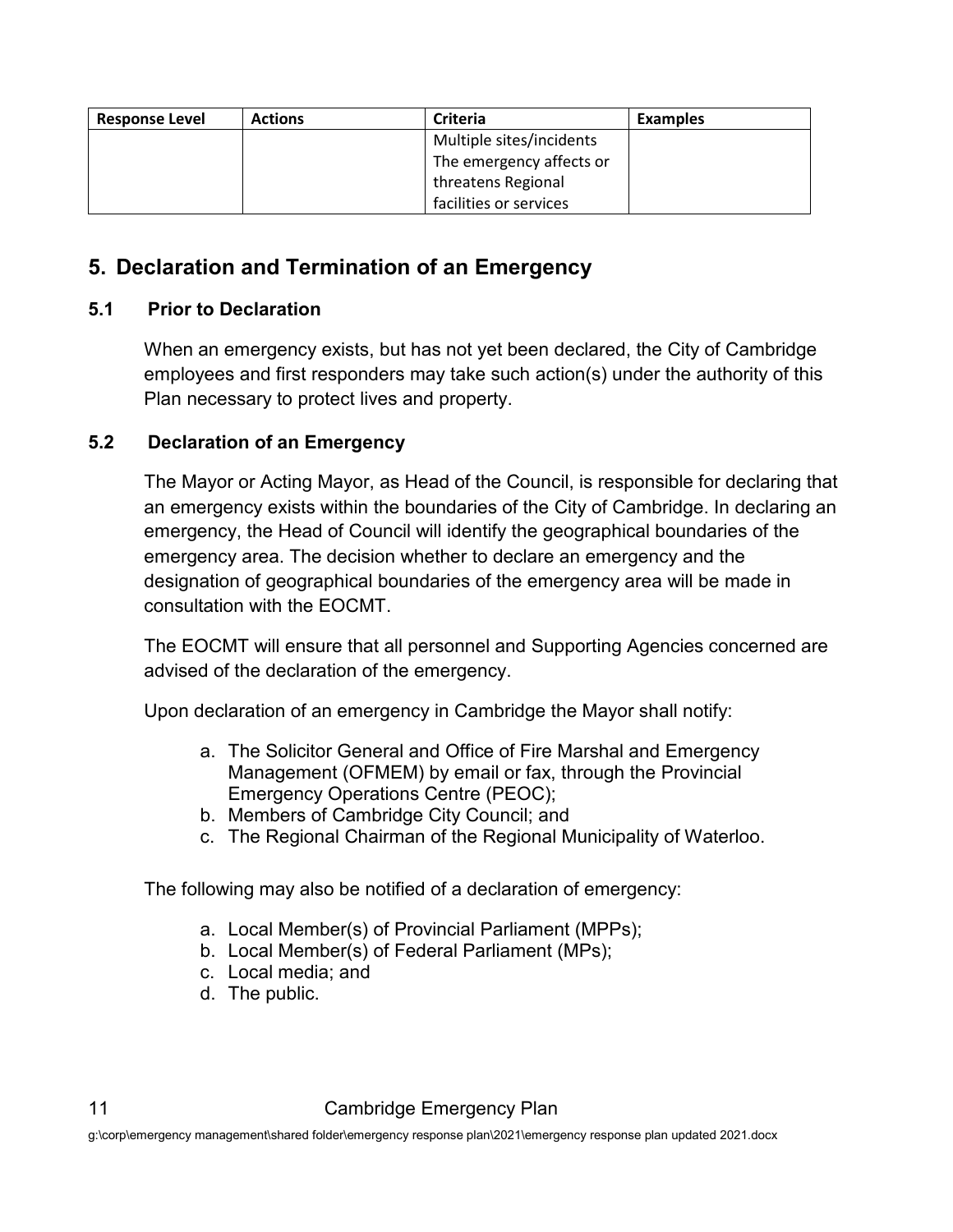| <b>Response Level</b> | <b>Actions</b> | <b>Criteria</b>          | <b>Examples</b> |
|-----------------------|----------------|--------------------------|-----------------|
|                       |                | Multiple sites/incidents |                 |
|                       |                | The emergency affects or |                 |
|                       |                | threatens Regional       |                 |
|                       |                | facilities or services   |                 |

## <span id="page-13-0"></span>**5. Declaration and Termination of an Emergency**

#### <span id="page-13-1"></span>**5.1 Prior to Declaration**

When an emergency exists, but has not yet been declared, the City of Cambridge employees and first responders may take such action(s) under the authority of this Plan necessary to protect lives and property.

#### <span id="page-13-2"></span>**5.2 Declaration of an Emergency**

The Mayor or Acting Mayor, as Head of the Council, is responsible for declaring that an emergency exists within the boundaries of the City of Cambridge. In declaring an emergency, the Head of Council will identify the geographical boundaries of the emergency area. The decision whether to declare an emergency and the designation of geographical boundaries of the emergency area will be made in consultation with the EOCMT.

The EOCMT will ensure that all personnel and Supporting Agencies concerned are advised of the declaration of the emergency.

Upon declaration of an emergency in Cambridge the Mayor shall notify:

- a. The Solicitor General and Office of Fire Marshal and Emergency Management (OFMEM) by email or fax, through the Provincial Emergency Operations Centre (PEOC);
- b. Members of Cambridge City Council; and
- c. The Regional Chairman of the Regional Municipality of Waterloo.

The following may also be notified of a declaration of emergency:

- a. Local Member(s) of Provincial Parliament (MPPs);
- b. Local Member(s) of Federal Parliament (MPs);
- c. Local media; and
- d. The public.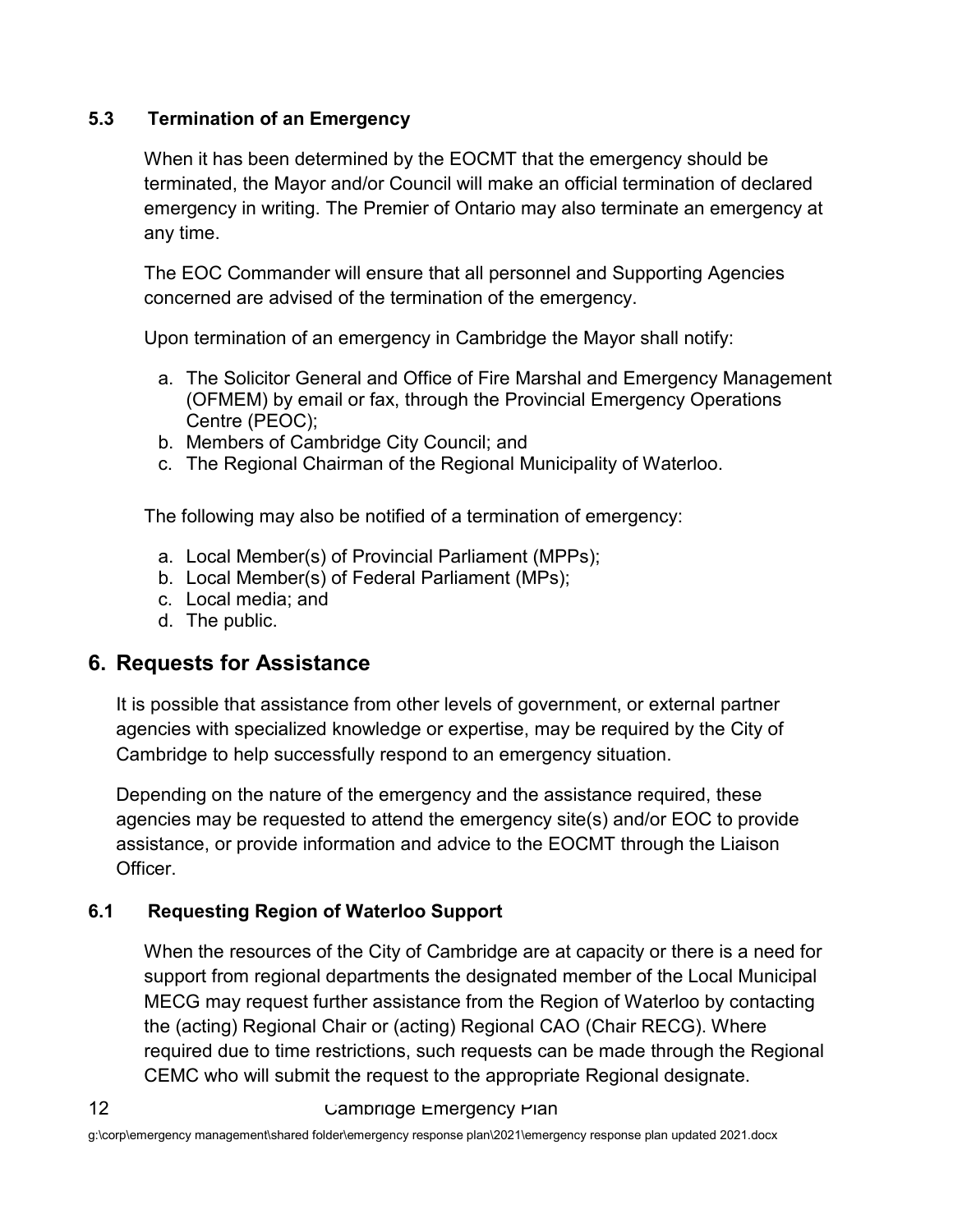#### <span id="page-14-0"></span>**5.3 Termination of an Emergency**

When it has been determined by the EOCMT that the emergency should be terminated, the Mayor and/or Council will make an official termination of declared emergency in writing. The Premier of Ontario may also terminate an emergency at any time.

The EOC Commander will ensure that all personnel and Supporting Agencies concerned are advised of the termination of the emergency.

Upon termination of an emergency in Cambridge the Mayor shall notify:

- a. The Solicitor General and Office of Fire Marshal and Emergency Management (OFMEM) by email or fax, through the Provincial Emergency Operations Centre (PEOC);
- b. Members of Cambridge City Council; and
- c. The Regional Chairman of the Regional Municipality of Waterloo.

The following may also be notified of a termination of emergency:

- a. Local Member(s) of Provincial Parliament (MPPs);
- b. Local Member(s) of Federal Parliament (MPs);
- c. Local media; and
- d. The public.

#### <span id="page-14-1"></span>**6. Requests for Assistance**

It is possible that assistance from other levels of government, or external partner agencies with specialized knowledge or expertise, may be required by the City of Cambridge to help successfully respond to an emergency situation.

Depending on the nature of the emergency and the assistance required, these agencies may be requested to attend the emergency site(s) and/or EOC to provide assistance, or provide information and advice to the EOCMT through the Liaison Officer.

#### <span id="page-14-2"></span>**6.1 Requesting Region of Waterloo Support**

When the resources of the City of Cambridge are at capacity or there is a need for support from regional departments the designated member of the Local Municipal MECG may request further assistance from the Region of Waterloo by contacting the (acting) Regional Chair or (acting) Regional CAO (Chair RECG). Where required due to time restrictions, such requests can be made through the Regional CEMC who will submit the request to the appropriate Regional designate.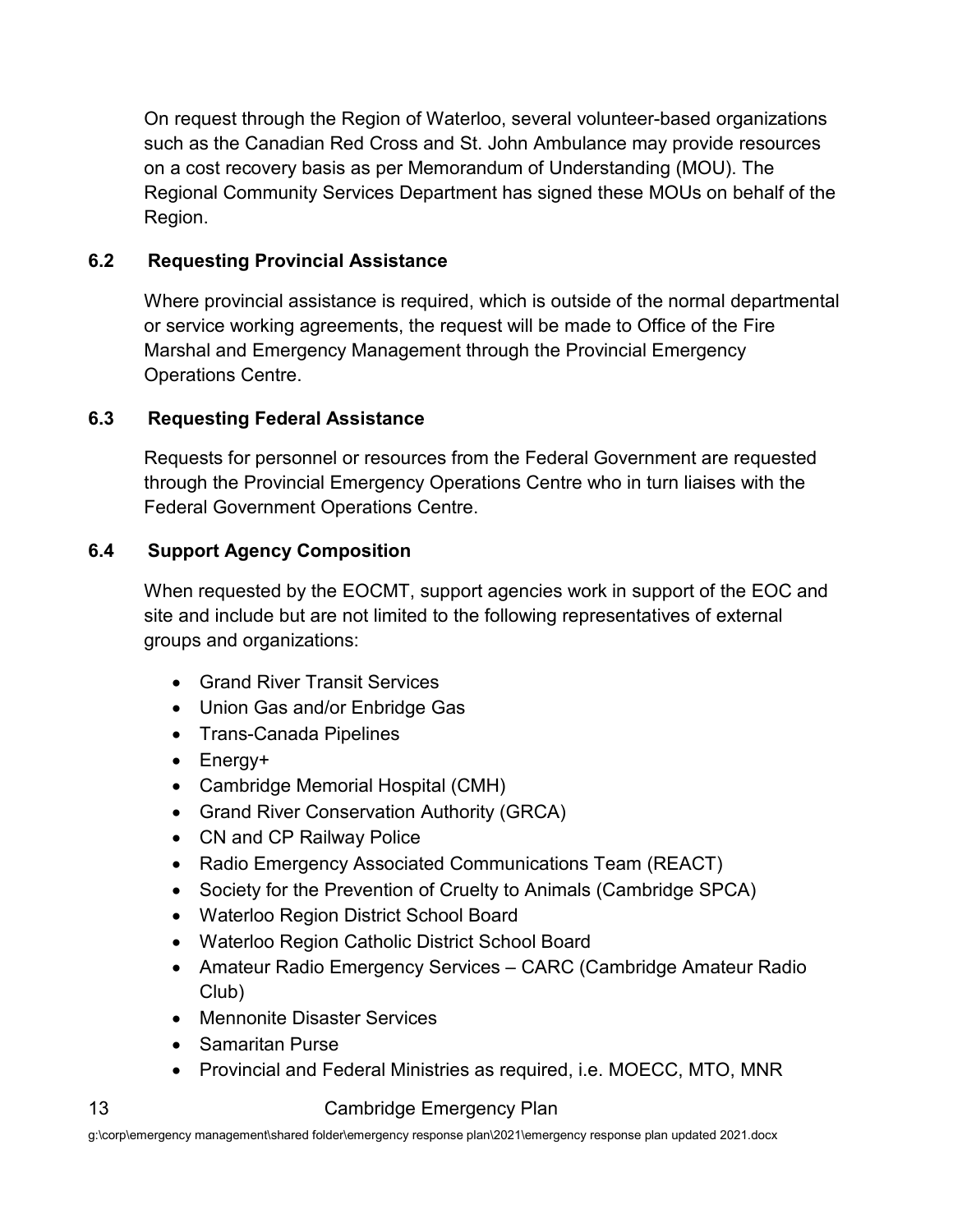On request through the Region of Waterloo, several volunteer-based organizations such as the Canadian Red Cross and St. John Ambulance may provide resources on a cost recovery basis as per Memorandum of Understanding (MOU). The Regional Community Services Department has signed these MOUs on behalf of the Region.

#### <span id="page-15-0"></span>**6.2 Requesting Provincial Assistance**

Where provincial assistance is required, which is outside of the normal departmental or service working agreements, the request will be made to Office of the Fire Marshal and Emergency Management through the Provincial Emergency Operations Centre.

#### <span id="page-15-1"></span>**6.3 Requesting Federal Assistance**

Requests for personnel or resources from the Federal Government are requested through the Provincial Emergency Operations Centre who in turn liaises with the Federal Government Operations Centre.

#### <span id="page-15-2"></span>**6.4 Support Agency Composition**

When requested by the EOCMT, support agencies work in support of the EOC and site and include but are not limited to the following representatives of external groups and organizations:

- Grand River Transit Services
- Union Gas and/or Enbridge Gas
- Trans-Canada Pipelines
- Energy+
- Cambridge Memorial Hospital (CMH)
- Grand River Conservation Authority (GRCA)
- CN and CP Railway Police
- Radio Emergency Associated Communications Team (REACT)
- Society for the Prevention of Cruelty to Animals (Cambridge SPCA)
- Waterloo Region District School Board
- Waterloo Region Catholic District School Board
- Amateur Radio Emergency Services CARC (Cambridge Amateur Radio Club)
- Mennonite Disaster Services
- Samaritan Purse
- Provincial and Federal Ministries as required, i.e. MOECC, MTO, MNR

#### 13 Cambridge Emergency Plan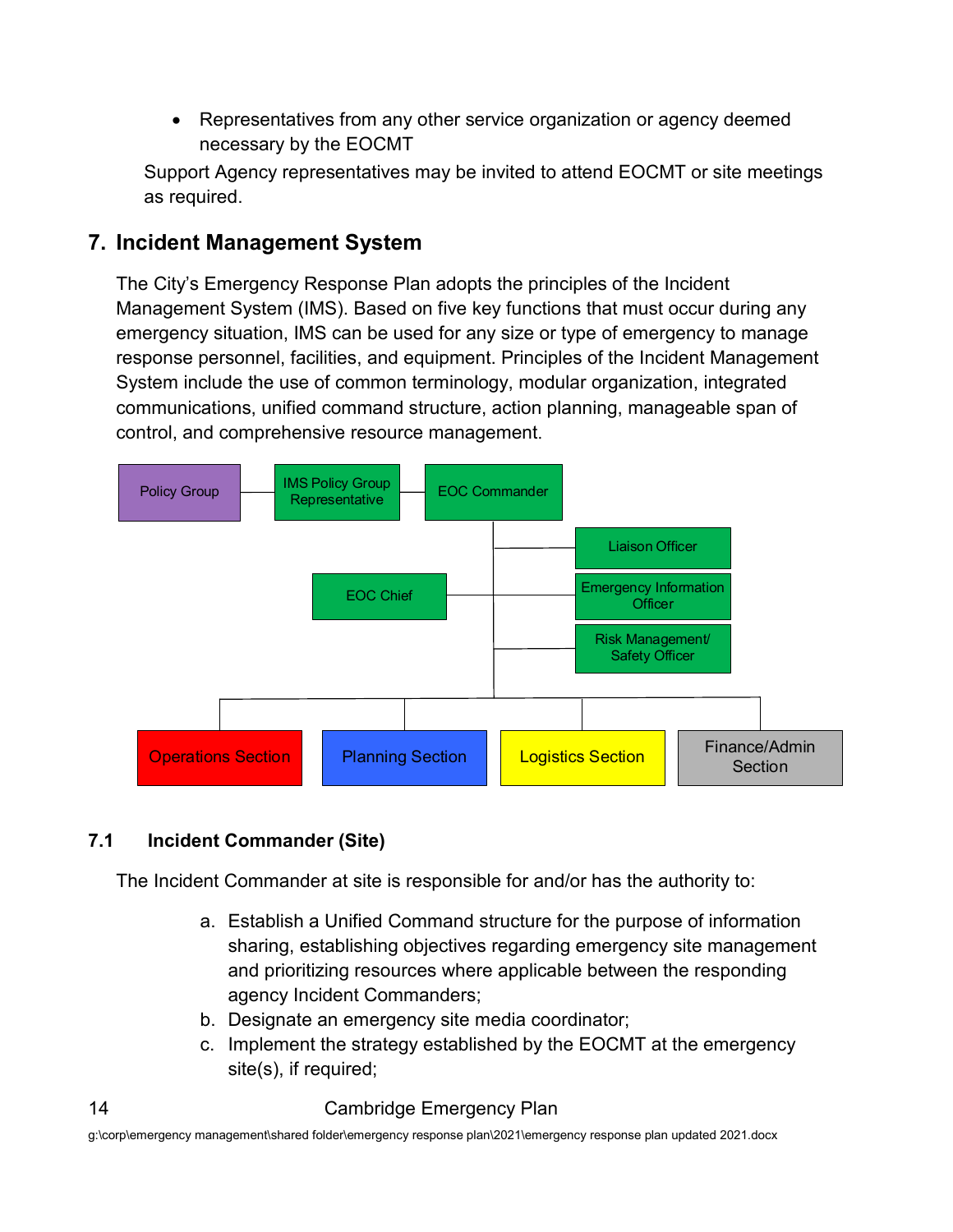• Representatives from any other service organization or agency deemed necessary by the EOCMT

Support Agency representatives may be invited to attend EOCMT or site meetings as required.

#### <span id="page-16-0"></span>**7. Incident Management System**

The City's Emergency Response Plan adopts the principles of the Incident Management System (IMS). Based on five key functions that must occur during any emergency situation, IMS can be used for any size or type of emergency to manage response personnel, facilities, and equipment. Principles of the Incident Management System include the use of common terminology, modular organization, integrated communications, unified command structure, action planning, manageable span of control, and comprehensive resource management.



#### <span id="page-16-1"></span>**7.1 Incident Commander (Site)**

The Incident Commander at site is responsible for and/or has the authority to:

- a. Establish a Unified Command structure for the purpose of information sharing, establishing objectives regarding emergency site management and prioritizing resources where applicable between the responding agency Incident Commanders;
- b. Designate an emergency site media coordinator;
- c. Implement the strategy established by the EOCMT at the emergency site(s), if required;

#### 14 Cambridge Emergency Plan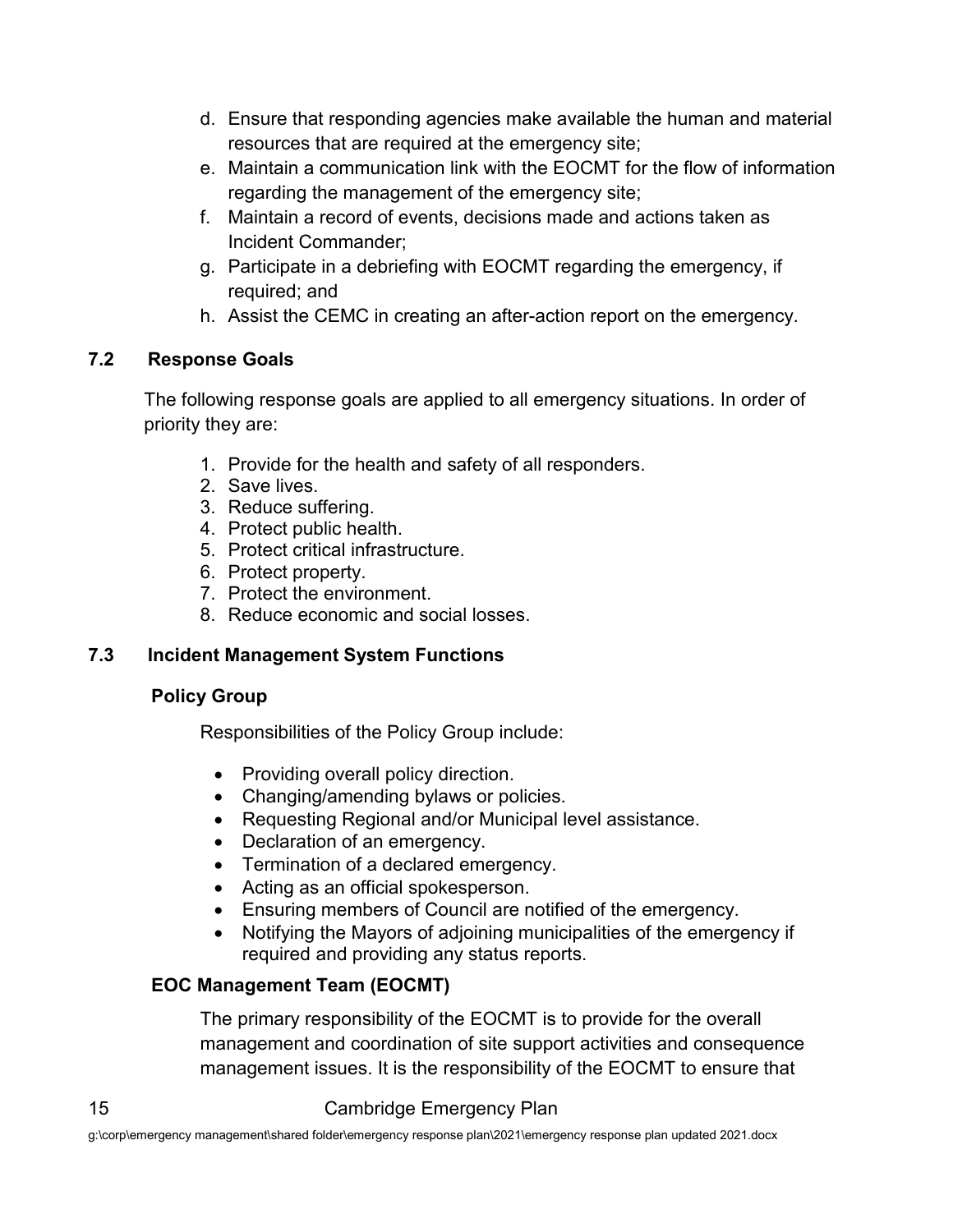- d. Ensure that responding agencies make available the human and material resources that are required at the emergency site;
- e. Maintain a communication link with the EOCMT for the flow of information regarding the management of the emergency site;
- f. Maintain a record of events, decisions made and actions taken as Incident Commander;
- g. Participate in a debriefing with EOCMT regarding the emergency, if required; and
- h. Assist the CEMC in creating an after-action report on the emergency.

#### <span id="page-17-0"></span>**7.2 Response Goals**

The following response goals are applied to all emergency situations. In order of priority they are:

- 1. Provide for the health and safety of all responders.
- 2. Save lives.
- 3. Reduce suffering.
- 4. Protect public health.
- 5. Protect critical infrastructure.
- 6. Protect property.
- 7. Protect the environment.
- 8. Reduce economic and social losses.

#### <span id="page-17-1"></span>**7.3 Incident Management System Functions**

#### **Policy Group**

Responsibilities of the Policy Group include:

- Providing overall policy direction.
- Changing/amending bylaws or policies.
- Requesting Regional and/or Municipal level assistance.
- Declaration of an emergency.
- Termination of a declared emergency.
- Acting as an official spokesperson.
- Ensuring members of Council are notified of the emergency.
- Notifying the Mayors of adjoining municipalities of the emergency if required and providing any status reports.

#### **EOC Management Team (EOCMT)**

The primary responsibility of the EOCMT is to provide for the overall management and coordination of site support activities and consequence management issues. It is the responsibility of the EOCMT to ensure that

#### 15 Cambridge Emergency Plan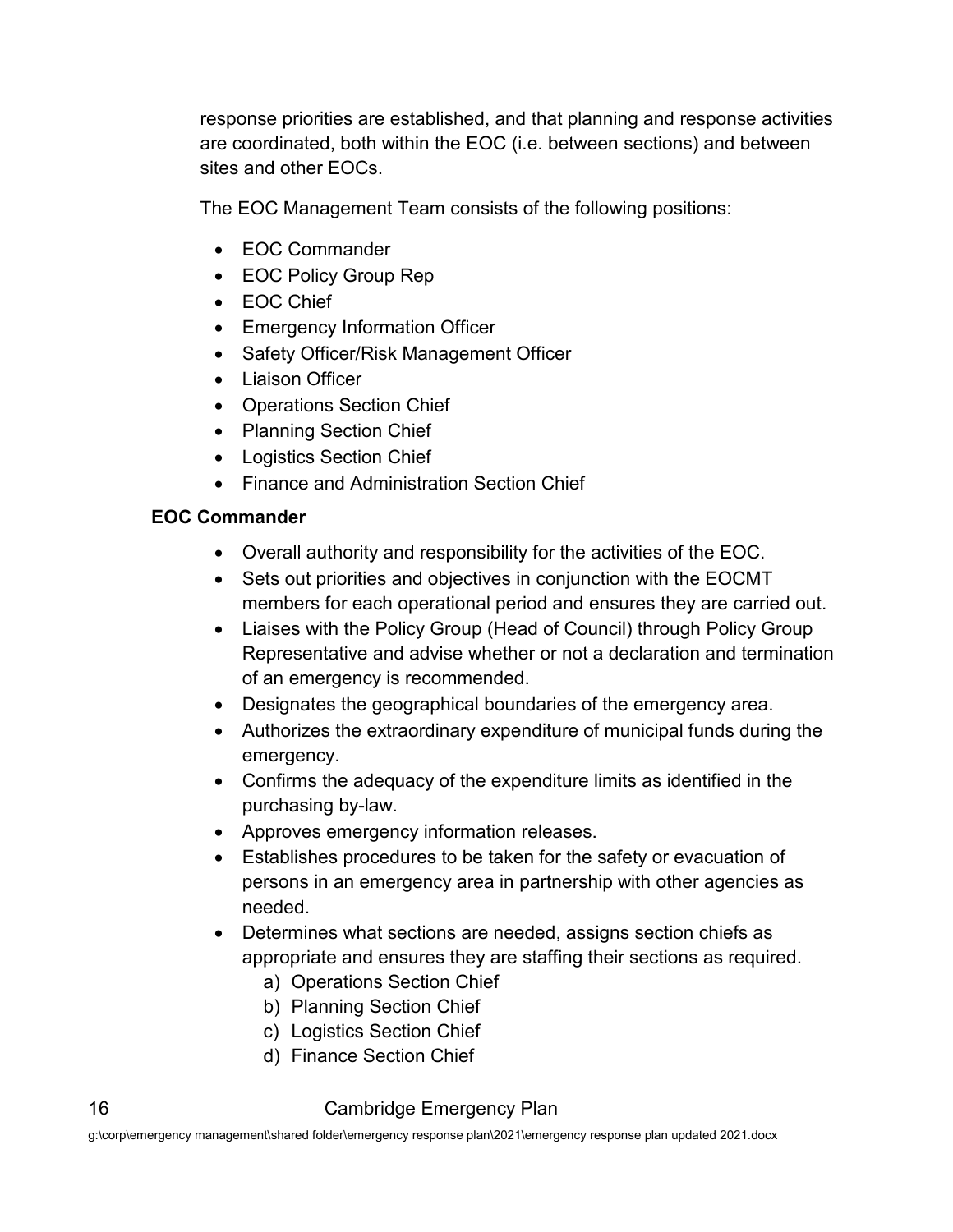response priorities are established, and that planning and response activities are coordinated, both within the EOC (i.e. between sections) and between sites and other EOCs.

The EOC Management Team consists of the following positions:

- EOC Commander
- EOC Policy Group Rep
- EOC Chief
- Emergency Information Officer
- Safety Officer/Risk Management Officer
- Liaison Officer
- Operations Section Chief
- Planning Section Chief
- Logistics Section Chief
- Finance and Administration Section Chief

#### **EOC Commander**

- Overall authority and responsibility for the activities of the EOC.
- Sets out priorities and objectives in conjunction with the EOCMT members for each operational period and ensures they are carried out.
- Liaises with the Policy Group (Head of Council) through Policy Group Representative and advise whether or not a declaration and termination of an emergency is recommended.
- Designates the geographical boundaries of the emergency area.
- Authorizes the extraordinary expenditure of municipal funds during the emergency.
- Confirms the adequacy of the expenditure limits as identified in the purchasing by-law.
- Approves emergency information releases.
- Establishes procedures to be taken for the safety or evacuation of persons in an emergency area in partnership with other agencies as needed.
- Determines what sections are needed, assigns section chiefs as appropriate and ensures they are staffing their sections as required.
	- a) Operations Section Chief
	- b) Planning Section Chief
	- c) Logistics Section Chief
	- d) Finance Section Chief

#### 16 Cambridge Emergency Plan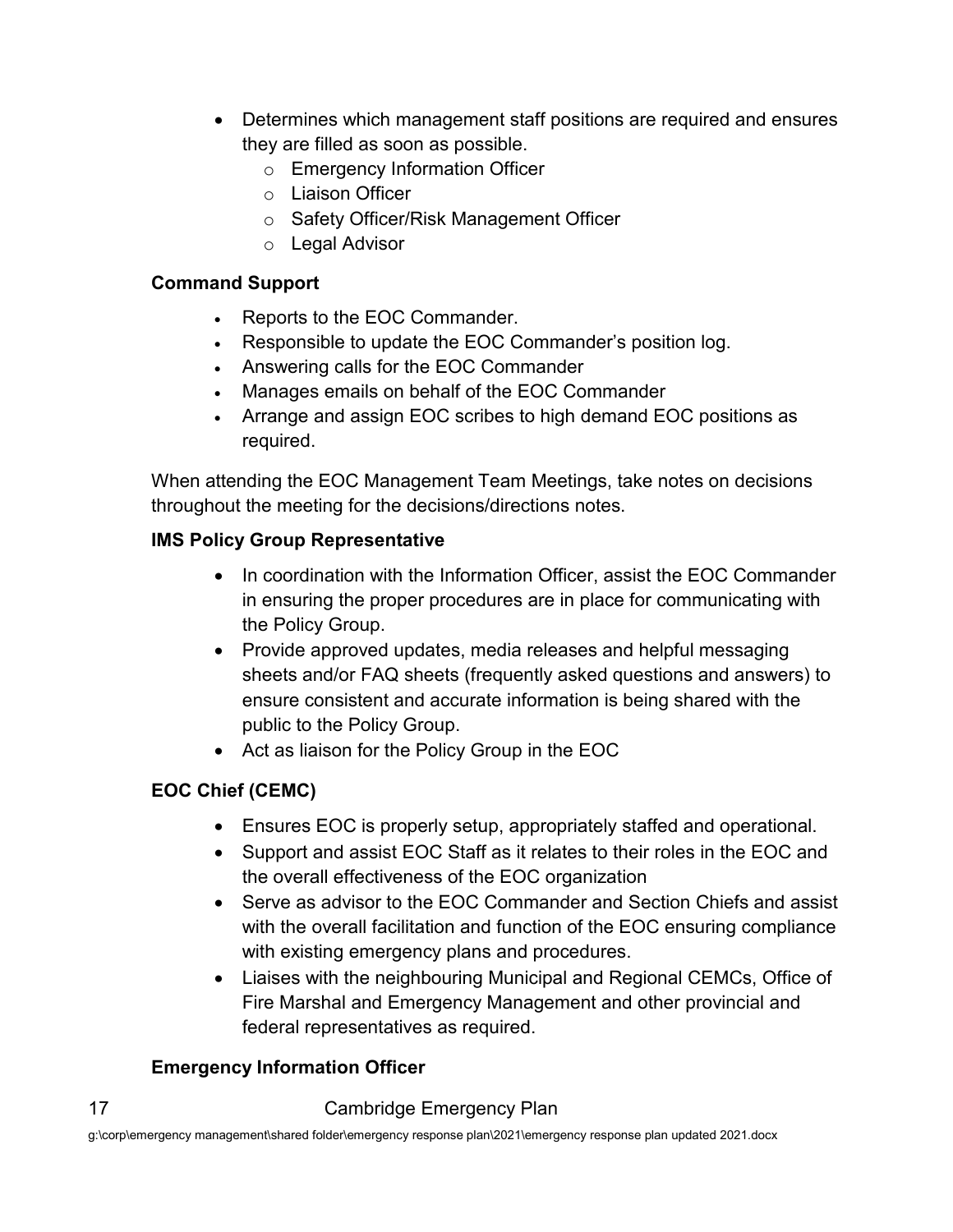- Determines which management staff positions are required and ensures they are filled as soon as possible.
	- o Emergency Information Officer
	- o Liaison Officer
	- o Safety Officer/Risk Management Officer
	- o Legal Advisor

#### **Command Support**

- Reports to the EOC Commander.
- Responsible to update the EOC Commander's position log.
- Answering calls for the EOC Commander
- Manages emails on behalf of the EOC Commander
- Arrange and assign EOC scribes to high demand EOC positions as required.

When attending the EOC Management Team Meetings, take notes on decisions throughout the meeting for the decisions/directions notes.

#### **IMS Policy Group Representative**

- In coordination with the Information Officer, assist the EOC Commander in ensuring the proper procedures are in place for communicating with the Policy Group.
- Provide approved updates, media releases and helpful messaging sheets and/or FAQ sheets (frequently asked questions and answers) to ensure consistent and accurate information is being shared with the public to the Policy Group.
- Act as liaison for the Policy Group in the EOC

#### **EOC Chief (CEMC)**

- Ensures EOC is properly setup, appropriately staffed and operational.
- Support and assist EOC Staff as it relates to their roles in the EOC and the overall effectiveness of the EOC organization
- Serve as advisor to the EOC Commander and Section Chiefs and assist with the overall facilitation and function of the EOC ensuring compliance with existing emergency plans and procedures.
- Liaises with the neighbouring Municipal and Regional CEMCs, Office of Fire Marshal and Emergency Management and other provincial and federal representatives as required.

#### **Emergency Information Officer**

#### 17 Cambridge Emergency Plan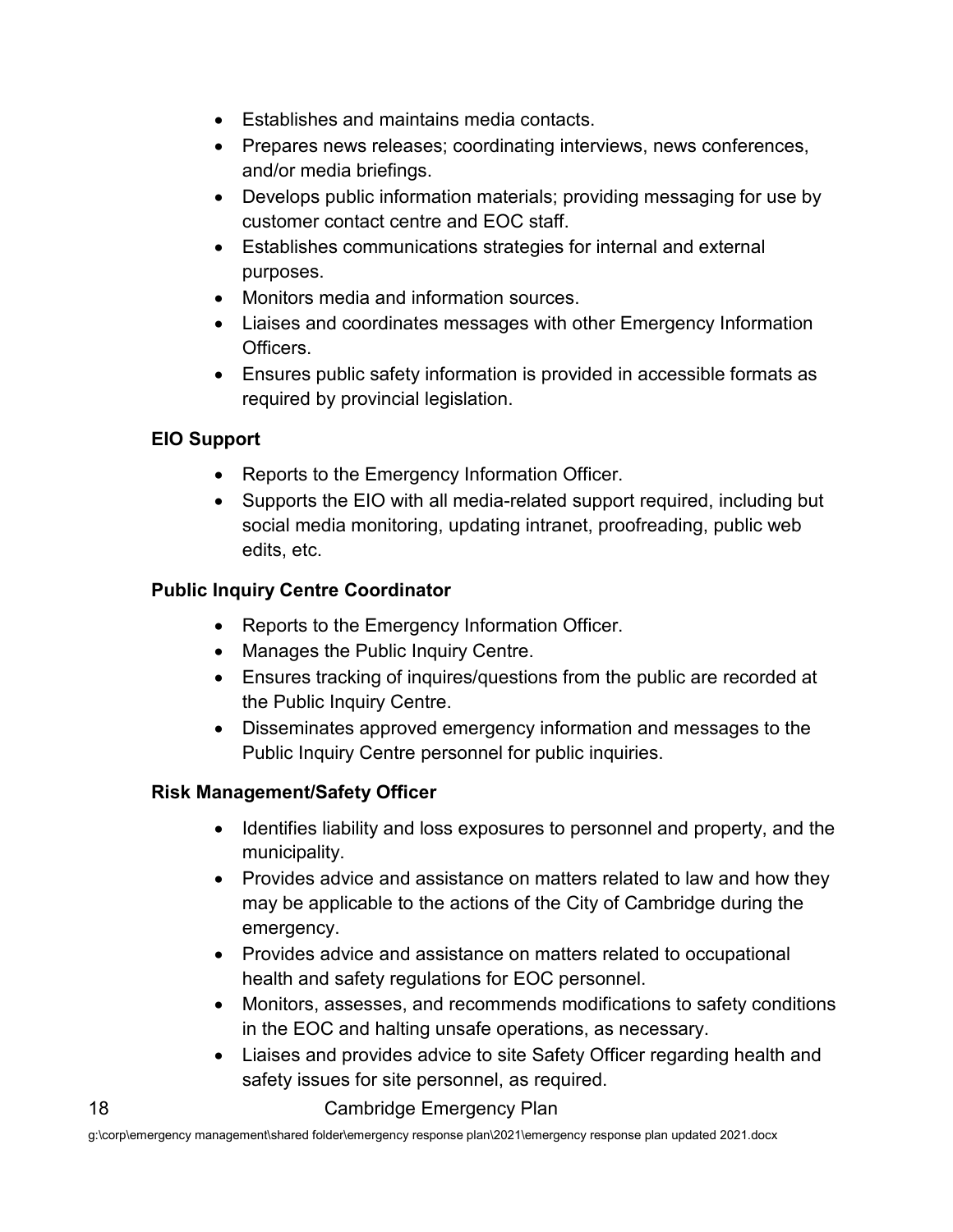- Establishes and maintains media contacts.
- Prepares news releases; coordinating interviews, news conferences, and/or media briefings.
- Develops public information materials; providing messaging for use by customer contact centre and EOC staff.
- Establishes communications strategies for internal and external purposes.
- Monitors media and information sources.
- Liaises and coordinates messages with other Emergency Information Officers.
- Ensures public safety information is provided in accessible formats as required by provincial legislation.

#### **EIO Support**

- Reports to the Emergency Information Officer.
- Supports the EIO with all media-related support required, including but social media monitoring, updating intranet, proofreading, public web edits, etc.

#### **Public Inquiry Centre Coordinator**

- Reports to the Emergency Information Officer.
- Manages the Public Inquiry Centre.
- Ensures tracking of inquires/questions from the public are recorded at the Public Inquiry Centre.
- Disseminates approved emergency information and messages to the Public Inquiry Centre personnel for public inquiries.

#### **Risk Management/Safety Officer**

- Identifies liability and loss exposures to personnel and property, and the municipality.
- Provides advice and assistance on matters related to law and how they may be applicable to the actions of the City of Cambridge during the emergency.
- Provides advice and assistance on matters related to occupational health and safety regulations for EOC personnel.
- Monitors, assesses, and recommends modifications to safety conditions in the EOC and halting unsafe operations, as necessary.
- Liaises and provides advice to site Safety Officer regarding health and safety issues for site personnel, as required.

#### 18 Cambridge Emergency Plan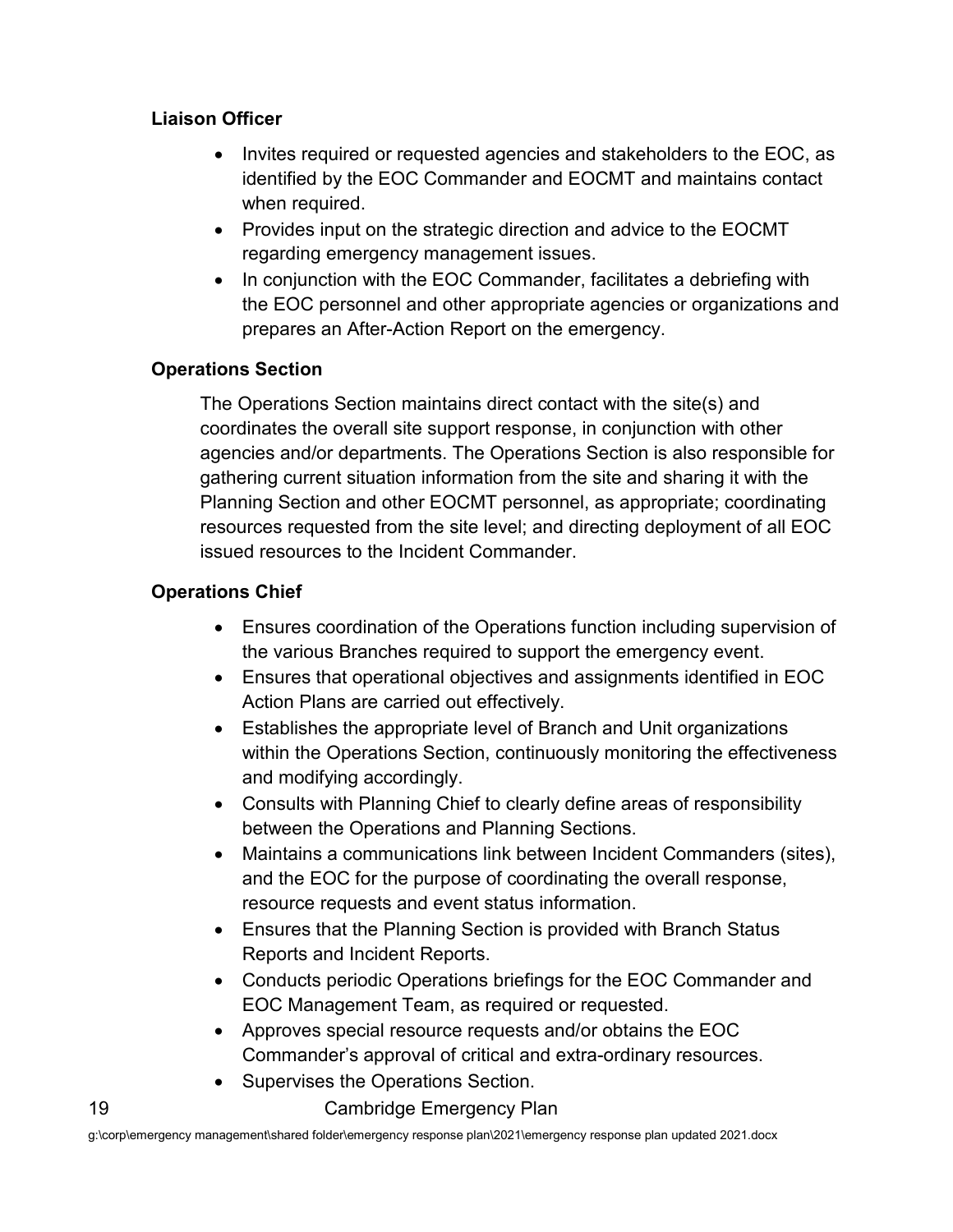#### **Liaison Officer**

- Invites required or requested agencies and stakeholders to the EOC, as identified by the EOC Commander and EOCMT and maintains contact when required.
- Provides input on the strategic direction and advice to the EOCMT regarding emergency management issues.
- In conjunction with the EOC Commander, facilitates a debriefing with the EOC personnel and other appropriate agencies or organizations and prepares an After-Action Report on the emergency.

#### **Operations Section**

The Operations Section maintains direct contact with the site(s) and coordinates the overall site support response, in conjunction with other agencies and/or departments. The Operations Section is also responsible for gathering current situation information from the site and sharing it with the Planning Section and other EOCMT personnel, as appropriate; coordinating resources requested from the site level; and directing deployment of all EOC issued resources to the Incident Commander.

#### **Operations Chief**

- Ensures coordination of the Operations function including supervision of the various Branches required to support the emergency event.
- Ensures that operational objectives and assignments identified in EOC Action Plans are carried out effectively.
- Establishes the appropriate level of Branch and Unit organizations within the Operations Section, continuously monitoring the effectiveness and modifying accordingly.
- Consults with Planning Chief to clearly define areas of responsibility between the Operations and Planning Sections.
- Maintains a communications link between Incident Commanders (sites), and the EOC for the purpose of coordinating the overall response, resource requests and event status information.
- Ensures that the Planning Section is provided with Branch Status Reports and Incident Reports.
- Conducts periodic Operations briefings for the EOC Commander and EOC Management Team, as required or requested.
- Approves special resource requests and/or obtains the EOC Commander's approval of critical and extra-ordinary resources.
- Supervises the Operations Section.

19 Cambridge Emergency Plan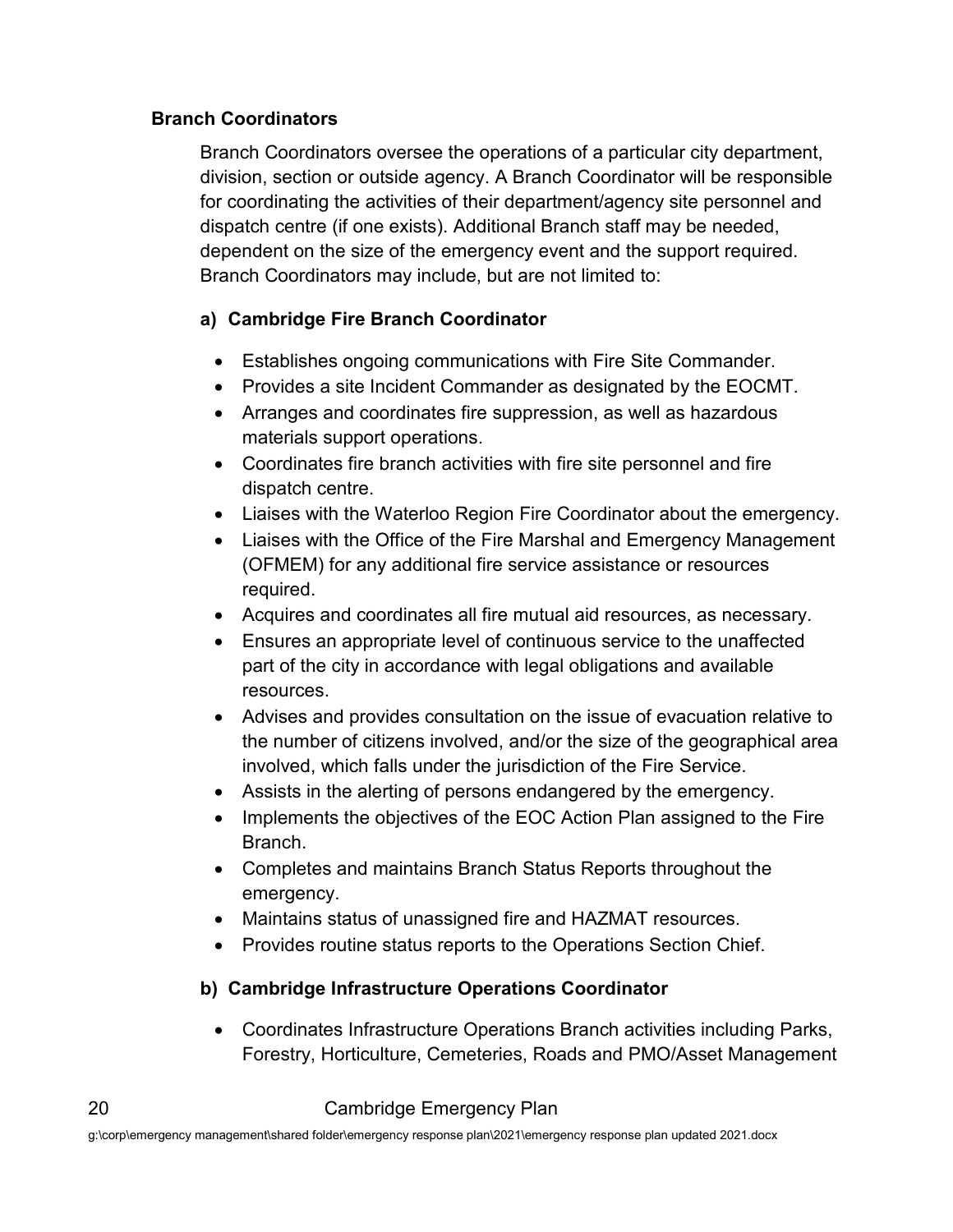#### **Branch Coordinators**

Branch Coordinators oversee the operations of a particular city department, division, section or outside agency. A Branch Coordinator will be responsible for coordinating the activities of their department/agency site personnel and dispatch centre (if one exists). Additional Branch staff may be needed, dependent on the size of the emergency event and the support required. Branch Coordinators may include, but are not limited to:

#### **a) Cambridge Fire Branch Coordinator**

- Establishes ongoing communications with Fire Site Commander.
- Provides a site Incident Commander as designated by the EOCMT.
- Arranges and coordinates fire suppression, as well as hazardous materials support operations.
- Coordinates fire branch activities with fire site personnel and fire dispatch centre.
- Liaises with the Waterloo Region Fire Coordinator about the emergency.
- Liaises with the Office of the Fire Marshal and Emergency Management (OFMEM) for any additional fire service assistance or resources required.
- Acquires and coordinates all fire mutual aid resources, as necessary.
- Ensures an appropriate level of continuous service to the unaffected part of the city in accordance with legal obligations and available resources.
- Advises and provides consultation on the issue of evacuation relative to the number of citizens involved, and/or the size of the geographical area involved, which falls under the jurisdiction of the Fire Service.
- Assists in the alerting of persons endangered by the emergency.
- Implements the objectives of the EOC Action Plan assigned to the Fire Branch.
- Completes and maintains Branch Status Reports throughout the emergency.
- Maintains status of unassigned fire and HAZMAT resources.
- Provides routine status reports to the Operations Section Chief.

#### **b) Cambridge Infrastructure Operations Coordinator**

• Coordinates Infrastructure Operations Branch activities including Parks, Forestry, Horticulture, Cemeteries, Roads and PMO/Asset Management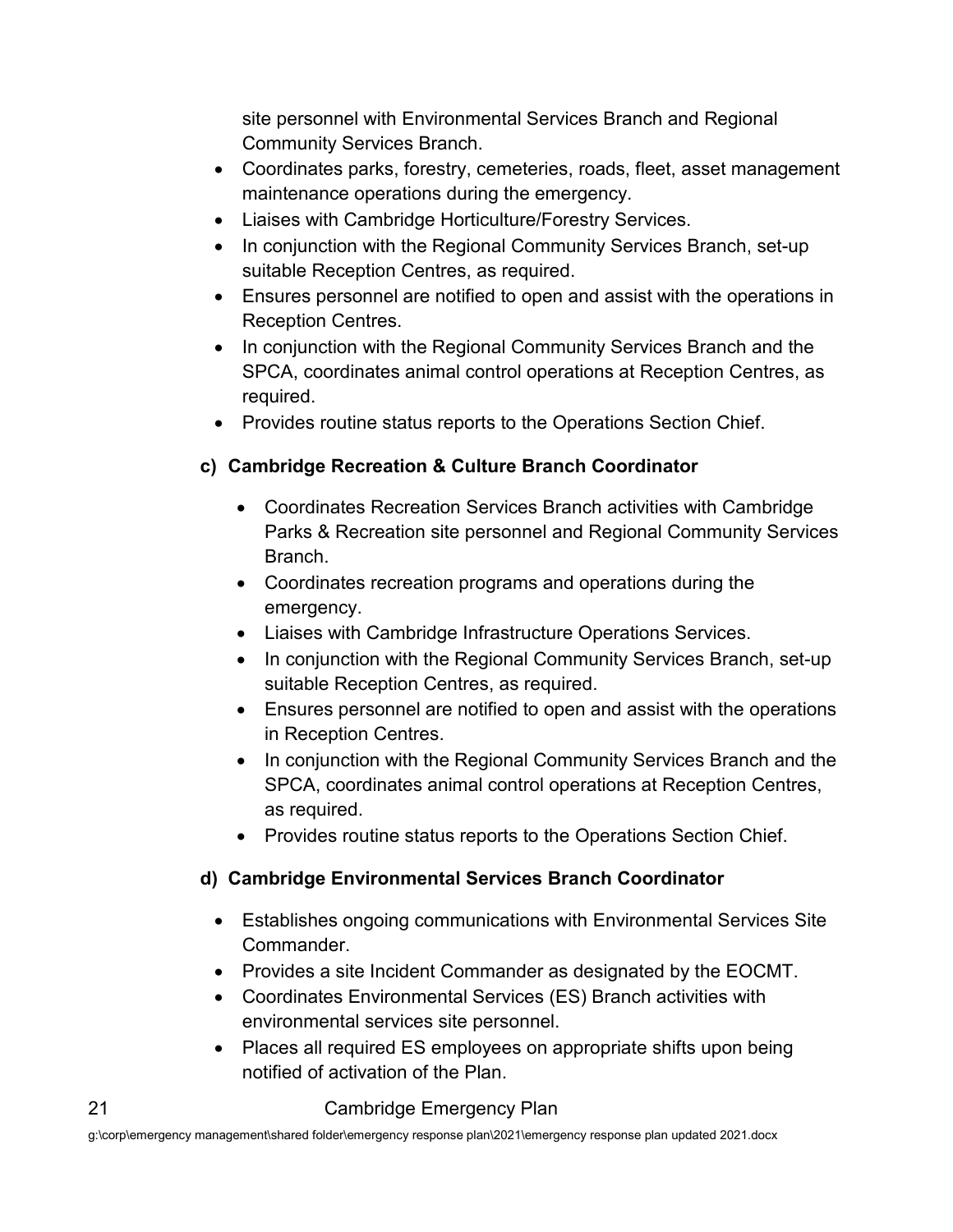site personnel with Environmental Services Branch and Regional Community Services Branch.

- Coordinates parks, forestry, cemeteries, roads, fleet, asset management maintenance operations during the emergency.
- Liaises with Cambridge Horticulture/Forestry Services.
- In conjunction with the Regional Community Services Branch, set-up suitable Reception Centres, as required.
- Ensures personnel are notified to open and assist with the operations in Reception Centres.
- In conjunction with the Regional Community Services Branch and the SPCA, coordinates animal control operations at Reception Centres, as required.
- Provides routine status reports to the Operations Section Chief.

#### **c) Cambridge Recreation & Culture Branch Coordinator**

- Coordinates Recreation Services Branch activities with Cambridge Parks & Recreation site personnel and Regional Community Services Branch.
- Coordinates recreation programs and operations during the emergency.
- Liaises with Cambridge Infrastructure Operations Services.
- In conjunction with the Regional Community Services Branch, set-up suitable Reception Centres, as required.
- Ensures personnel are notified to open and assist with the operations in Reception Centres.
- In conjunction with the Regional Community Services Branch and the SPCA, coordinates animal control operations at Reception Centres, as required.
- Provides routine status reports to the Operations Section Chief.

#### **d) Cambridge Environmental Services Branch Coordinator**

- Establishes ongoing communications with Environmental Services Site Commander.
- Provides a site Incident Commander as designated by the EOCMT.
- Coordinates Environmental Services (ES) Branch activities with environmental services site personnel.
- Places all required ES employees on appropriate shifts upon being notified of activation of the Plan.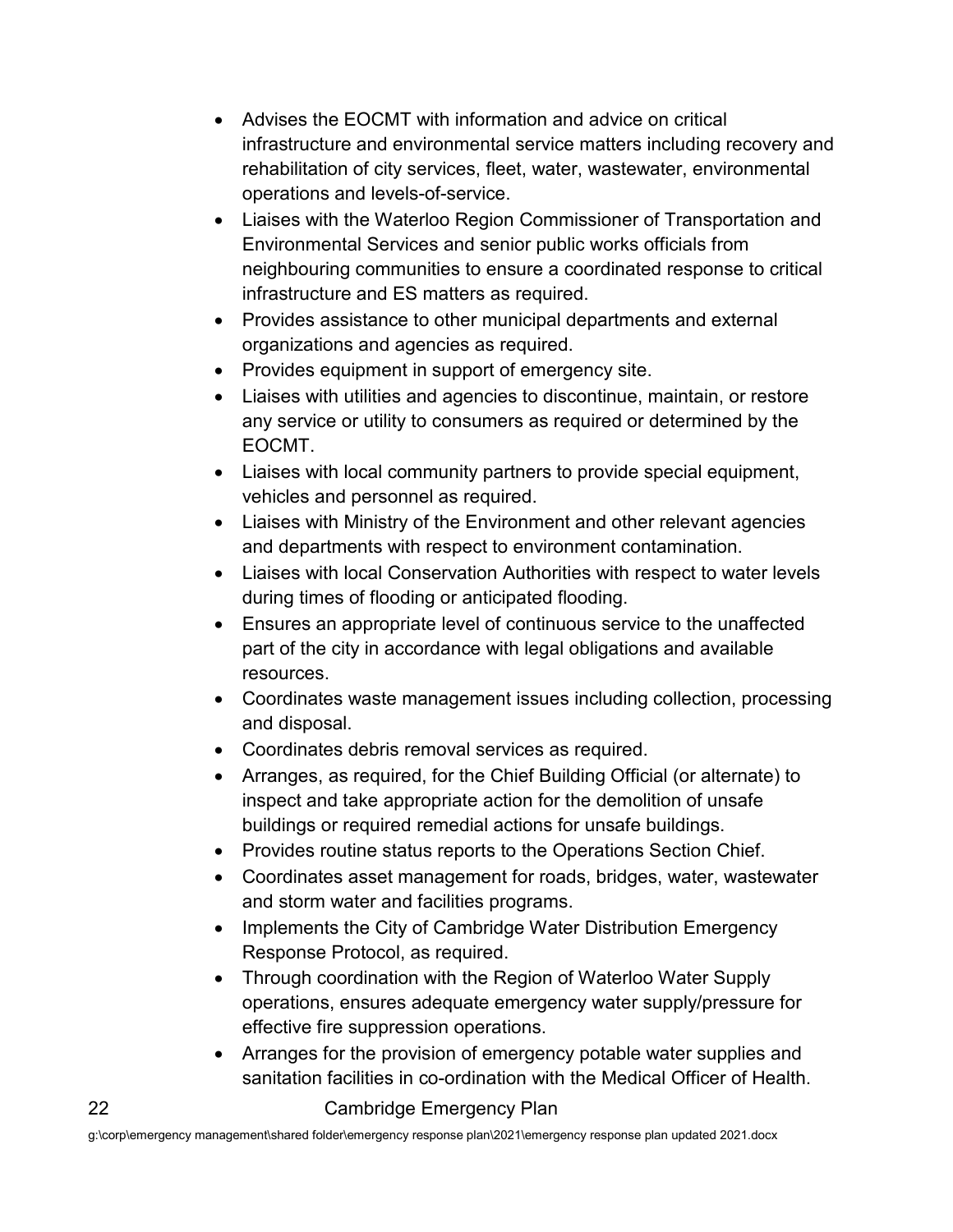- Advises the EOCMT with information and advice on critical infrastructure and environmental service matters including recovery and rehabilitation of city services, fleet, water, wastewater, environmental operations and levels-of-service.
- Liaises with the Waterloo Region Commissioner of Transportation and Environmental Services and senior public works officials from neighbouring communities to ensure a coordinated response to critical infrastructure and ES matters as required.
- Provides assistance to other municipal departments and external organizations and agencies as required.
- Provides equipment in support of emergency site.
- Liaises with utilities and agencies to discontinue, maintain, or restore any service or utility to consumers as required or determined by the EOCMT.
- Liaises with local community partners to provide special equipment, vehicles and personnel as required.
- Liaises with Ministry of the Environment and other relevant agencies and departments with respect to environment contamination.
- Liaises with local Conservation Authorities with respect to water levels during times of flooding or anticipated flooding.
- Ensures an appropriate level of continuous service to the unaffected part of the city in accordance with legal obligations and available resources.
- Coordinates waste management issues including collection, processing and disposal.
- Coordinates debris removal services as required.
- Arranges, as required, for the Chief Building Official (or alternate) to inspect and take appropriate action for the demolition of unsafe buildings or required remedial actions for unsafe buildings.
- Provides routine status reports to the Operations Section Chief.
- Coordinates asset management for roads, bridges, water, wastewater and storm water and facilities programs.
- Implements the City of Cambridge Water Distribution Emergency Response Protocol, as required.
- Through coordination with the Region of Waterloo Water Supply operations, ensures adequate emergency water supply/pressure for effective fire suppression operations.
- Arranges for the provision of emergency potable water supplies and sanitation facilities in co-ordination with the Medical Officer of Health.

#### 22 Cambridge Emergency Plan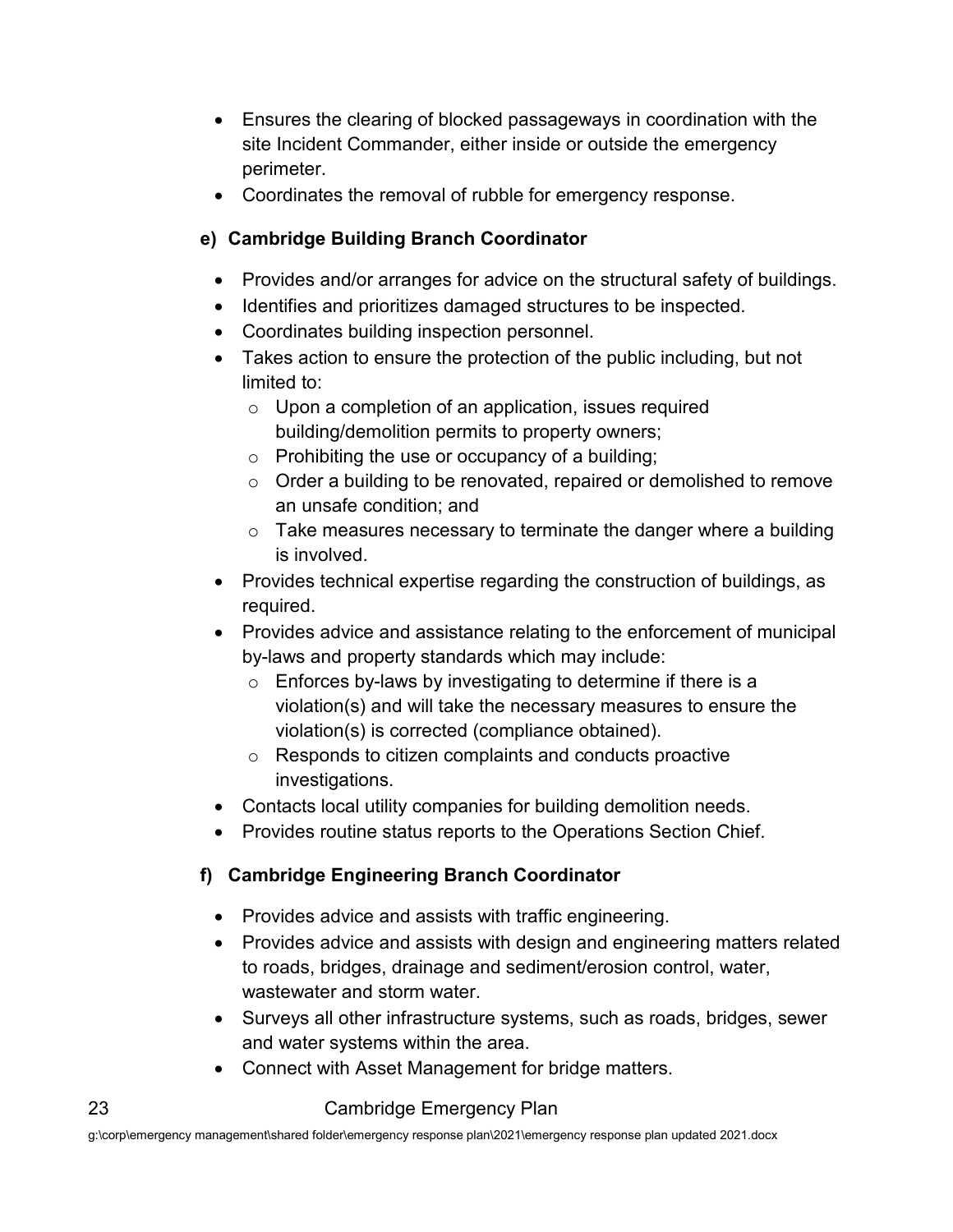- Ensures the clearing of blocked passageways in coordination with the site Incident Commander, either inside or outside the emergency perimeter.
- Coordinates the removal of rubble for emergency response.

#### **e) Cambridge Building Branch Coordinator**

- Provides and/or arranges for advice on the structural safety of buildings.
- Identifies and prioritizes damaged structures to be inspected.
- Coordinates building inspection personnel.
- Takes action to ensure the protection of the public including, but not limited to:
	- $\circ$  Upon a completion of an application, issues required building/demolition permits to property owners;
	- $\circ$  Prohibiting the use or occupancy of a building;
	- $\circ$  Order a building to be renovated, repaired or demolished to remove an unsafe condition; and
	- $\circ$  Take measures necessary to terminate the danger where a building is involved.
- Provides technical expertise regarding the construction of buildings, as required.
- Provides advice and assistance relating to the enforcement of municipal by-laws and property standards which may include:
	- $\circ$  Enforces by-laws by investigating to determine if there is a violation(s) and will take the necessary measures to ensure the violation(s) is corrected (compliance obtained).
	- o Responds to citizen complaints and conducts proactive investigations.
- Contacts local utility companies for building demolition needs.
- Provides routine status reports to the Operations Section Chief.

#### **f) Cambridge Engineering Branch Coordinator**

- Provides advice and assists with traffic engineering.
- Provides advice and assists with design and engineering matters related to roads, bridges, drainage and sediment/erosion control, water, wastewater and storm water.
- Surveys all other infrastructure systems, such as roads, bridges, sewer and water systems within the area.
- Connect with Asset Management for bridge matters.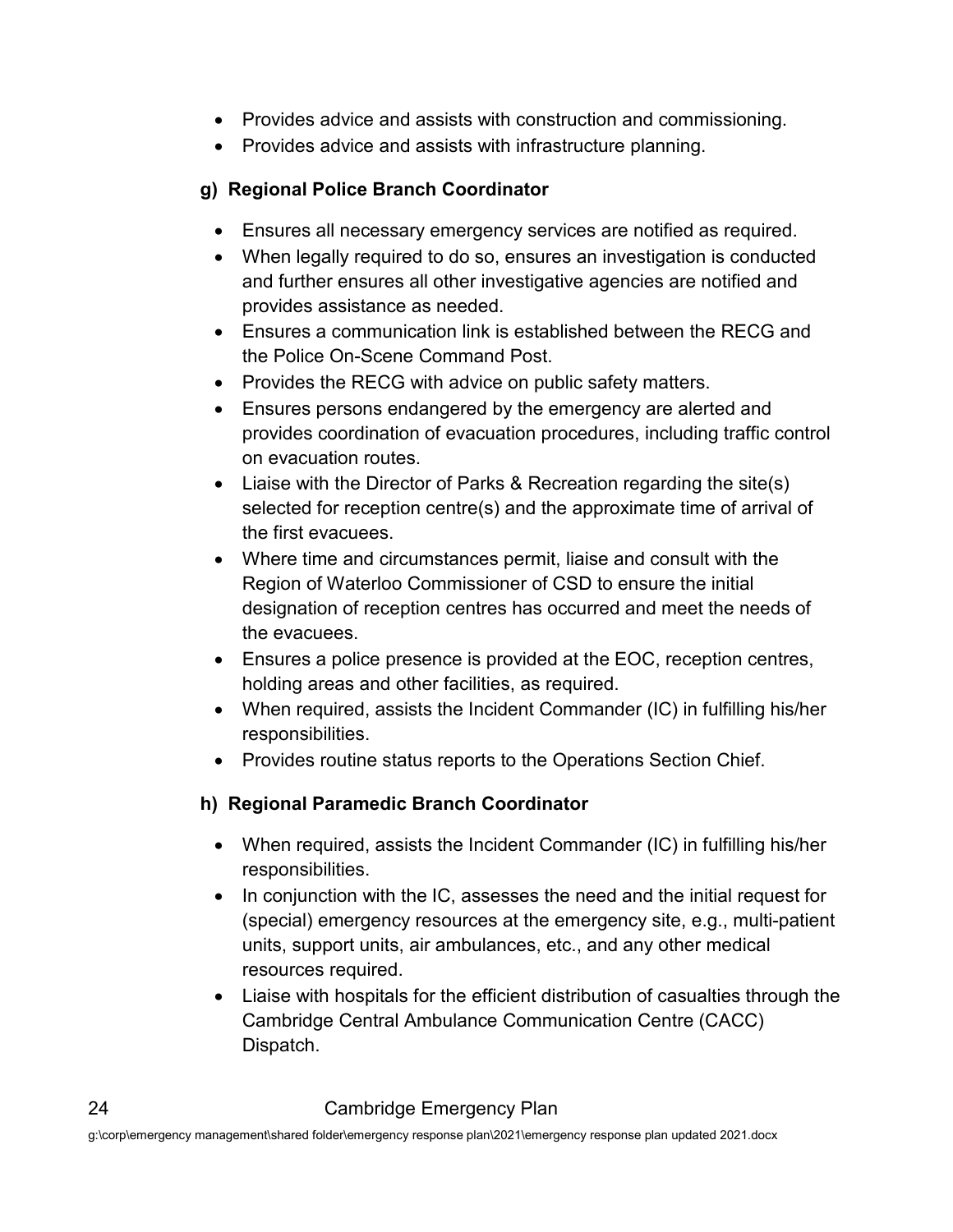- Provides advice and assists with construction and commissioning.
- Provides advice and assists with infrastructure planning.

#### **g) Regional Police Branch Coordinator**

- Ensures all necessary emergency services are notified as required.
- When legally required to do so, ensures an investigation is conducted and further ensures all other investigative agencies are notified and provides assistance as needed.
- Ensures a communication link is established between the RECG and the Police On-Scene Command Post.
- Provides the RECG with advice on public safety matters.
- Ensures persons endangered by the emergency are alerted and provides coordination of evacuation procedures, including traffic control on evacuation routes.
- Liaise with the Director of Parks & Recreation regarding the site(s) selected for reception centre(s) and the approximate time of arrival of the first evacuees.
- Where time and circumstances permit, liaise and consult with the Region of Waterloo Commissioner of CSD to ensure the initial designation of reception centres has occurred and meet the needs of the evacuees.
- Ensures a police presence is provided at the EOC, reception centres, holding areas and other facilities, as required.
- When required, assists the Incident Commander (IC) in fulfilling his/her responsibilities.
- Provides routine status reports to the Operations Section Chief.

#### **h) Regional Paramedic Branch Coordinator**

- When required, assists the Incident Commander (IC) in fulfilling his/her responsibilities.
- In conjunction with the IC, assesses the need and the initial request for (special) emergency resources at the emergency site, e.g., multi-patient units, support units, air ambulances, etc., and any other medical resources required.
- Liaise with hospitals for the efficient distribution of casualties through the Cambridge Central Ambulance Communication Centre (CACC) Dispatch.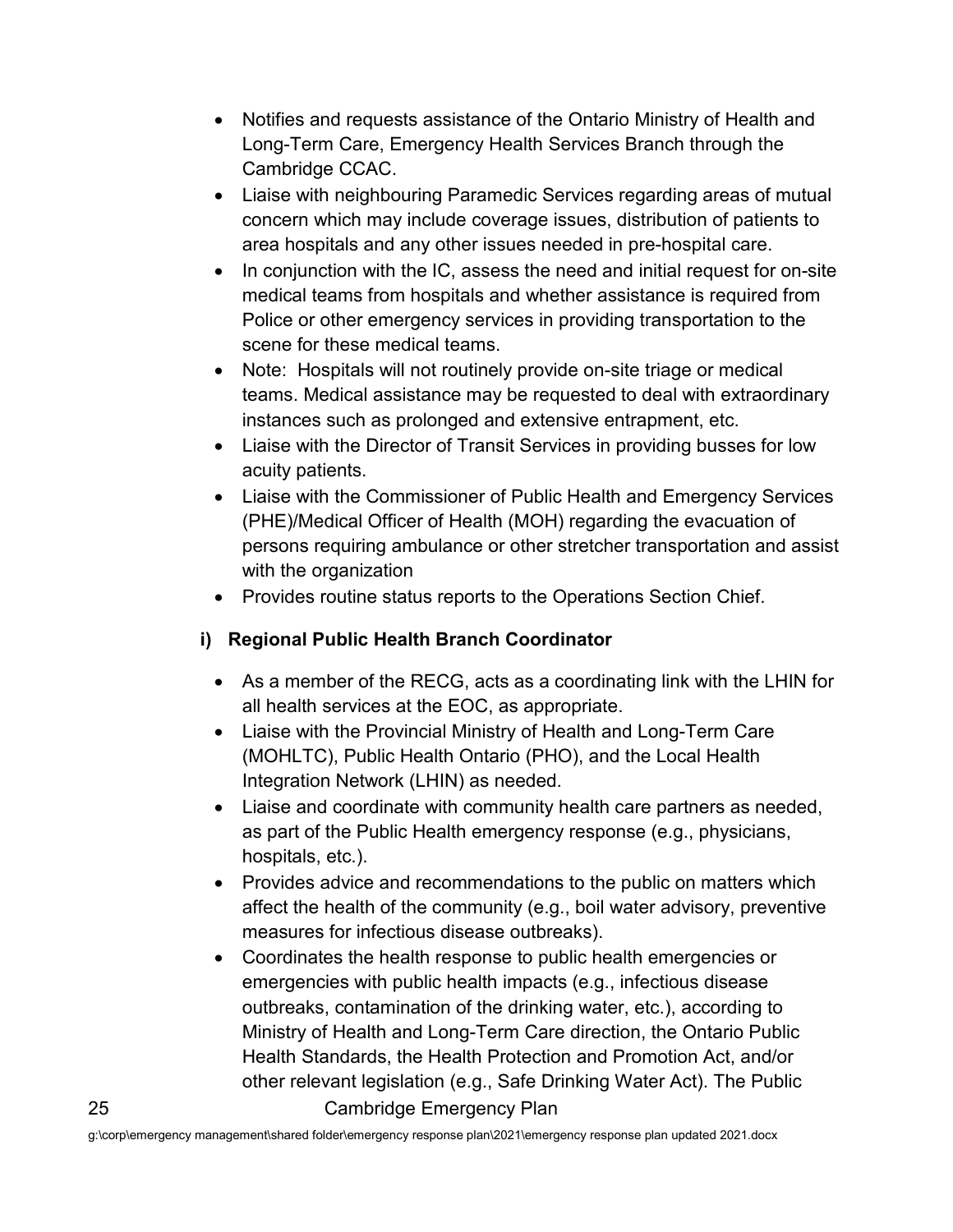- Notifies and requests assistance of the Ontario Ministry of Health and Long-Term Care, Emergency Health Services Branch through the Cambridge CCAC.
- Liaise with neighbouring Paramedic Services regarding areas of mutual concern which may include coverage issues, distribution of patients to area hospitals and any other issues needed in pre-hospital care.
- In conjunction with the IC, assess the need and initial request for on-site medical teams from hospitals and whether assistance is required from Police or other emergency services in providing transportation to the scene for these medical teams.
- Note: Hospitals will not routinely provide on-site triage or medical teams. Medical assistance may be requested to deal with extraordinary instances such as prolonged and extensive entrapment, etc.
- Liaise with the Director of Transit Services in providing busses for low acuity patients.
- Liaise with the Commissioner of Public Health and Emergency Services (PHE)/Medical Officer of Health (MOH) regarding the evacuation of persons requiring ambulance or other stretcher transportation and assist with the organization
- Provides routine status reports to the Operations Section Chief.

#### **i) Regional Public Health Branch Coordinator**

- As a member of the RECG, acts as a coordinating link with the LHIN for all health services at the EOC, as appropriate.
- Liaise with the Provincial Ministry of Health and Long-Term Care (MOHLTC), Public Health Ontario (PHO), and the Local Health Integration Network (LHIN) as needed.
- Liaise and coordinate with community health care partners as needed, as part of the Public Health emergency response (e.g., physicians, hospitals, etc.).
- Provides advice and recommendations to the public on matters which affect the health of the community (e.g., boil water advisory, preventive measures for infectious disease outbreaks).
- 25 Cambridge Emergency Plan • Coordinates the health response to public health emergencies or emergencies with public health impacts (e.g., infectious disease outbreaks, contamination of the drinking water, etc.), according to Ministry of Health and Long-Term Care direction, the Ontario Public Health Standards, the Health Protection and Promotion Act, and/or other relevant legislation (e.g., Safe Drinking Water Act). The Public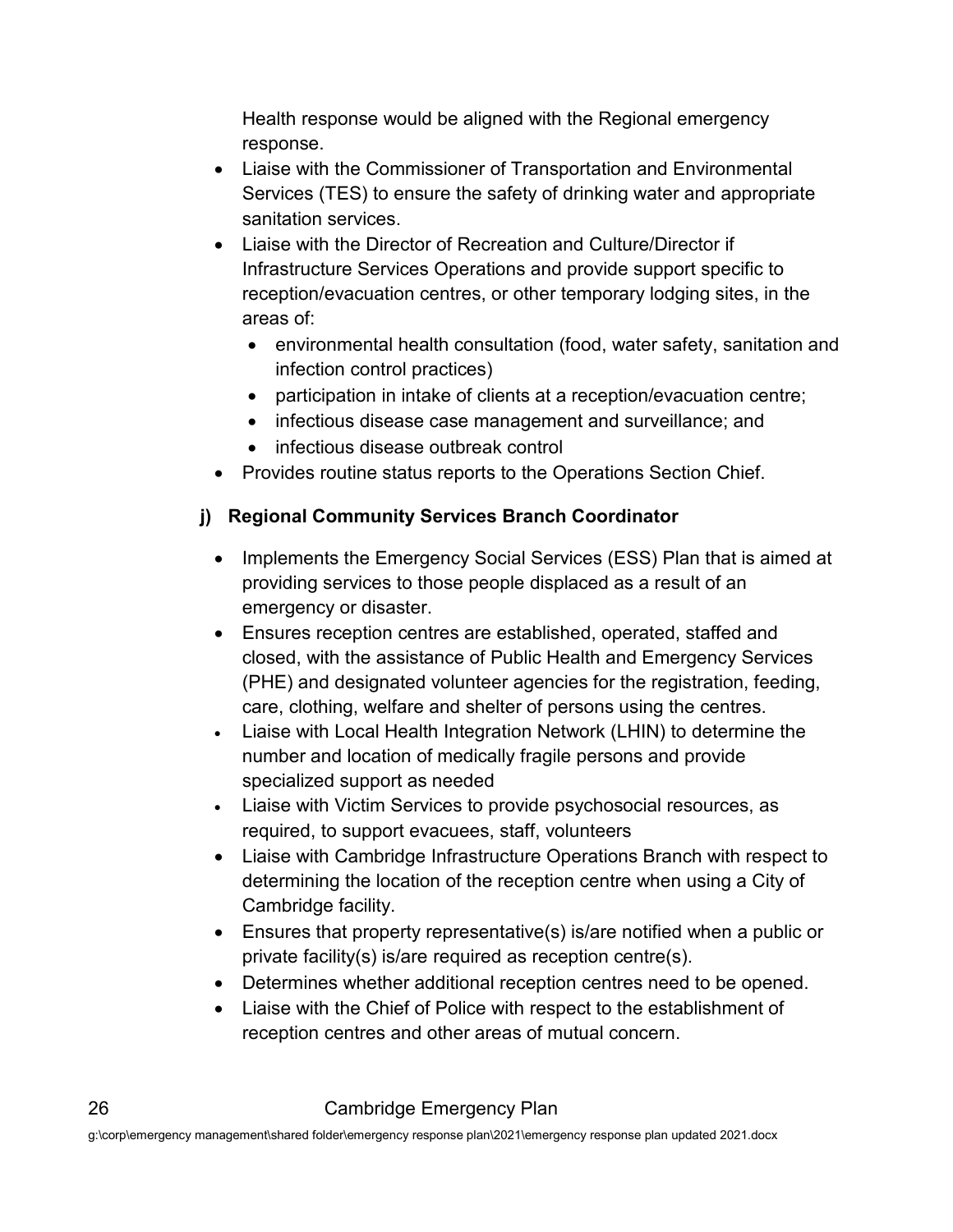Health response would be aligned with the Regional emergency response.

- Liaise with the Commissioner of Transportation and Environmental Services (TES) to ensure the safety of drinking water and appropriate sanitation services.
- Liaise with the Director of Recreation and Culture/Director if Infrastructure Services Operations and provide support specific to reception/evacuation centres, or other temporary lodging sites, in the areas of:
	- environmental health consultation (food, water safety, sanitation and infection control practices)
	- participation in intake of clients at a reception/evacuation centre;
	- infectious disease case management and surveillance; and
	- infectious disease outbreak control
- Provides routine status reports to the Operations Section Chief.

#### **j) Regional Community Services Branch Coordinator**

- Implements the Emergency Social Services (ESS) Plan that is aimed at providing services to those people displaced as a result of an emergency or disaster.
- Ensures reception centres are established, operated, staffed and closed, with the assistance of Public Health and Emergency Services (PHE) and designated volunteer agencies for the registration, feeding, care, clothing, welfare and shelter of persons using the centres.
- Liaise with Local Health Integration Network (LHIN) to determine the number and location of medically fragile persons and provide specialized support as needed
- Liaise with Victim Services to provide psychosocial resources, as required, to support evacuees, staff, volunteers
- Liaise with Cambridge Infrastructure Operations Branch with respect to determining the location of the reception centre when using a City of Cambridge facility.
- Ensures that property representative(s) is/are notified when a public or private facility(s) is/are required as reception centre(s).
- Determines whether additional reception centres need to be opened.
- Liaise with the Chief of Police with respect to the establishment of reception centres and other areas of mutual concern.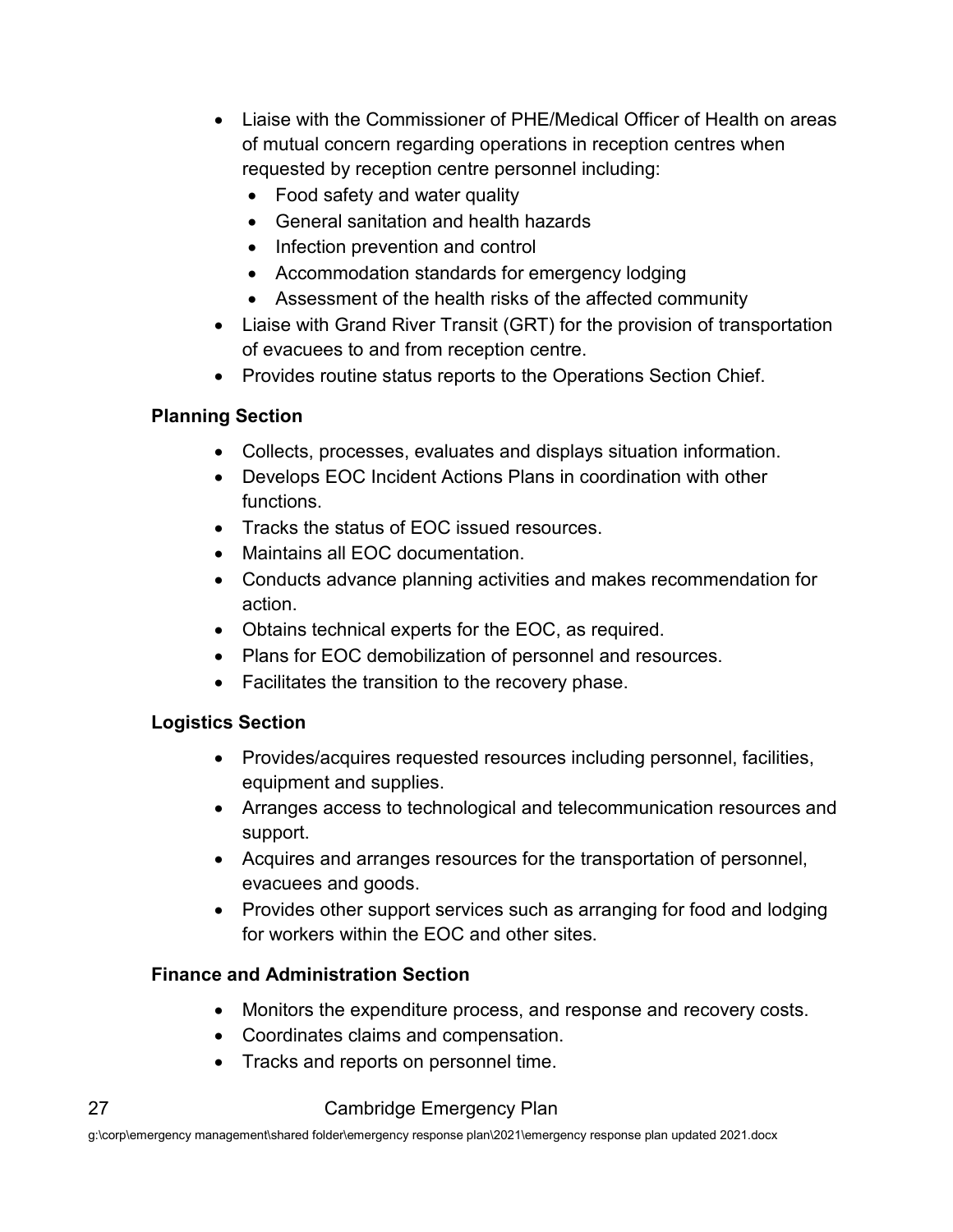- Liaise with the Commissioner of PHE/Medical Officer of Health on areas of mutual concern regarding operations in reception centres when requested by reception centre personnel including:
	- Food safety and water quality
	- General sanitation and health hazards
	- Infection prevention and control
	- Accommodation standards for emergency lodging
	- Assessment of the health risks of the affected community
- Liaise with Grand River Transit (GRT) for the provision of transportation of evacuees to and from reception centre.
- Provides routine status reports to the Operations Section Chief.

#### **Planning Section**

- Collects, processes, evaluates and displays situation information.
- Develops EOC Incident Actions Plans in coordination with other functions.
- Tracks the status of EOC issued resources.
- Maintains all EOC documentation.
- Conducts advance planning activities and makes recommendation for action.
- Obtains technical experts for the EOC, as required.
- Plans for EOC demobilization of personnel and resources.
- Facilitates the transition to the recovery phase.

#### **Logistics Section**

- Provides/acquires requested resources including personnel, facilities, equipment and supplies.
- Arranges access to technological and telecommunication resources and support.
- Acquires and arranges resources for the transportation of personnel, evacuees and goods.
- Provides other support services such as arranging for food and lodging for workers within the EOC and other sites.

#### **Finance and Administration Section**

- Monitors the expenditure process, and response and recovery costs.
- Coordinates claims and compensation.
- Tracks and reports on personnel time.

#### 27 Cambridge Emergency Plan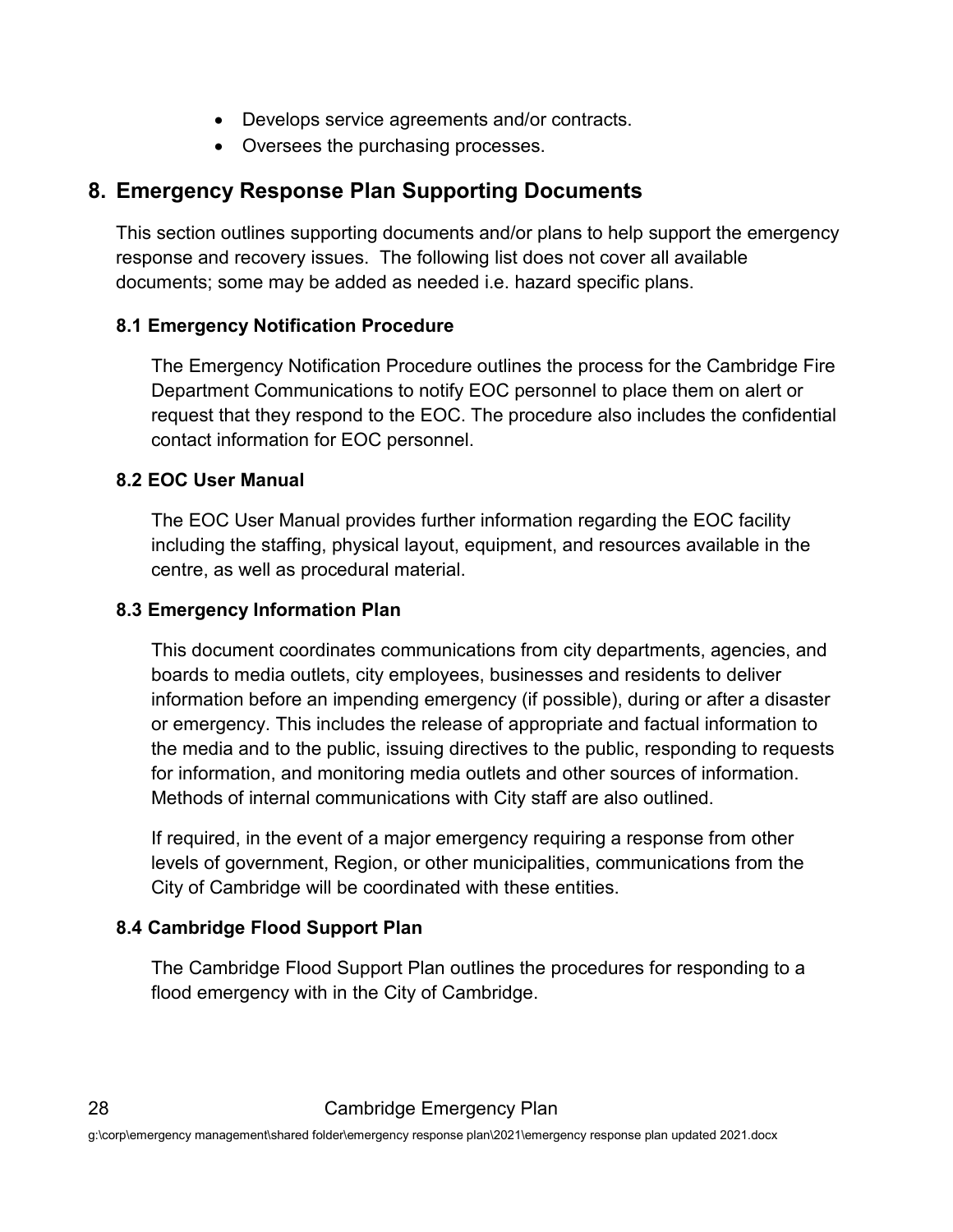- Develops service agreements and/or contracts.
- Oversees the purchasing processes.

## <span id="page-30-0"></span>**8. Emergency Response Plan Supporting Documents**

This section outlines supporting documents and/or plans to help support the emergency response and recovery issues. The following list does not cover all available documents; some may be added as needed i.e. hazard specific plans.

#### <span id="page-30-1"></span>**8.1 Emergency Notification Procedure**

The Emergency Notification Procedure outlines the process for the Cambridge Fire Department Communications to notify EOC personnel to place them on alert or request that they respond to the EOC. The procedure also includes the confidential contact information for EOC personnel.

#### <span id="page-30-2"></span>**8.2 EOC User Manual**

The EOC User Manual provides further information regarding the EOC facility including the staffing, physical layout, equipment, and resources available in the centre, as well as procedural material.

#### <span id="page-30-3"></span>**8.3 Emergency Information Plan**

This document coordinates communications from city departments, agencies, and boards to media outlets, city employees, businesses and residents to deliver information before an impending emergency (if possible), during or after a disaster or emergency. This includes the release of appropriate and factual information to the media and to the public, issuing directives to the public, responding to requests for information, and monitoring media outlets and other sources of information. Methods of internal communications with City staff are also outlined.

If required, in the event of a major emergency requiring a response from other levels of government, Region, or other municipalities, communications from the City of Cambridge will be coordinated with these entities.

#### <span id="page-30-4"></span>**8.4 Cambridge Flood Support Plan**

The Cambridge Flood Support Plan outlines the procedures for responding to a flood emergency with in the City of Cambridge.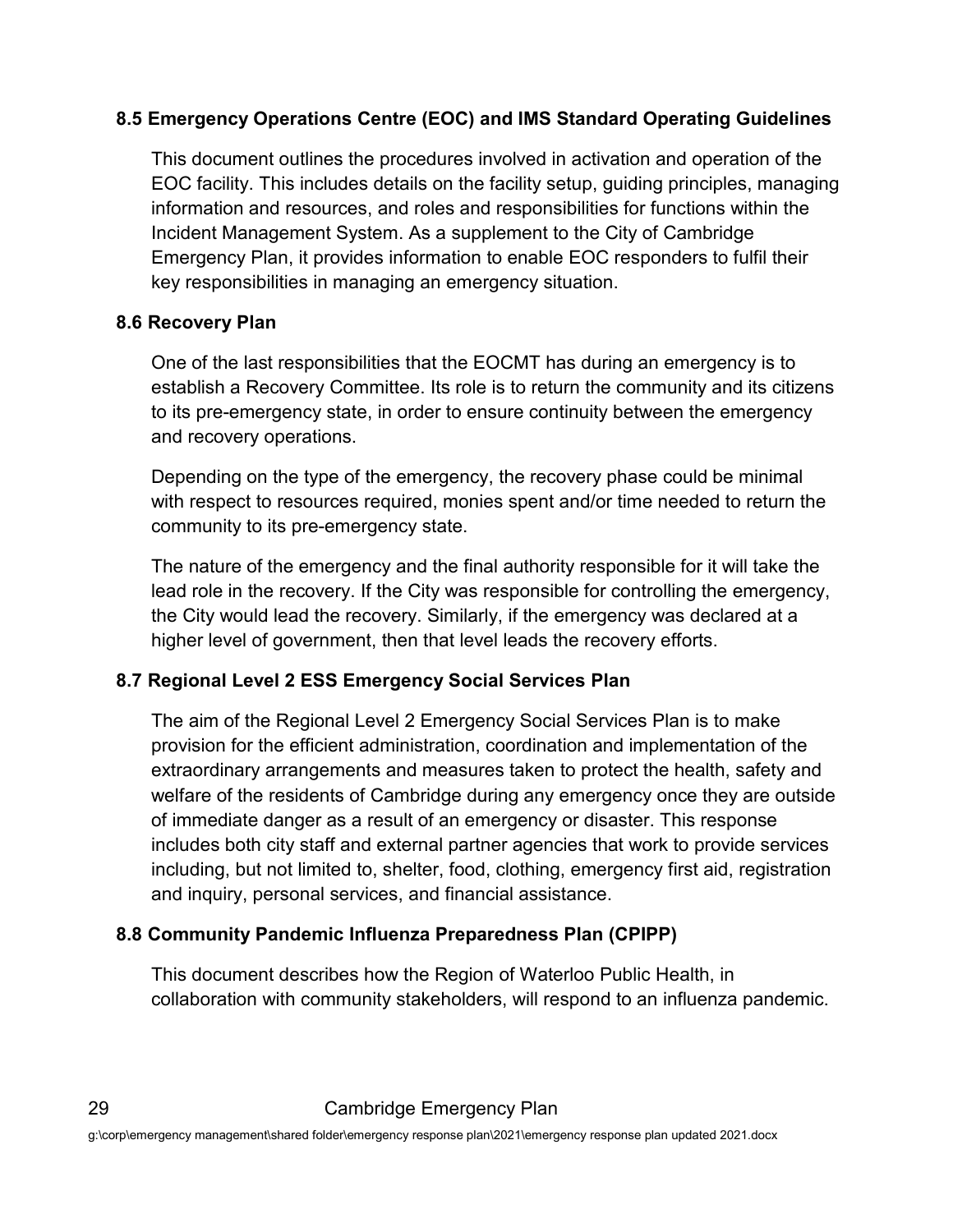#### <span id="page-31-0"></span>**8.5 Emergency Operations Centre (EOC) and IMS Standard Operating Guidelines**

This document outlines the procedures involved in activation and operation of the EOC facility. This includes details on the facility setup, guiding principles, managing information and resources, and roles and responsibilities for functions within the Incident Management System. As a supplement to the City of Cambridge Emergency Plan, it provides information to enable EOC responders to fulfil their key responsibilities in managing an emergency situation.

#### <span id="page-31-1"></span>**8.6 Recovery Plan**

One of the last responsibilities that the EOCMT has during an emergency is to establish a Recovery Committee. Its role is to return the community and its citizens to its pre-emergency state, in order to ensure continuity between the emergency and recovery operations.

Depending on the type of the emergency, the recovery phase could be minimal with respect to resources required, monies spent and/or time needed to return the community to its pre-emergency state.

The nature of the emergency and the final authority responsible for it will take the lead role in the recovery. If the City was responsible for controlling the emergency, the City would lead the recovery. Similarly, if the emergency was declared at a higher level of government, then that level leads the recovery efforts.

#### <span id="page-31-2"></span>**8.7 Regional Level 2 ESS Emergency Social Services Plan**

The aim of the Regional Level 2 Emergency Social Services Plan is to make provision for the efficient administration, coordination and implementation of the extraordinary arrangements and measures taken to protect the health, safety and welfare of the residents of Cambridge during any emergency once they are outside of immediate danger as a result of an emergency or disaster. This response includes both city staff and external partner agencies that work to provide services including, but not limited to, shelter, food, clothing, emergency first aid, registration and inquiry, personal services, and financial assistance.

#### <span id="page-31-3"></span>**8.8 Community Pandemic Influenza Preparedness Plan (CPIPP)**

This document describes how the Region of Waterloo Public Health, in collaboration with community stakeholders, will respond to an influenza pandemic.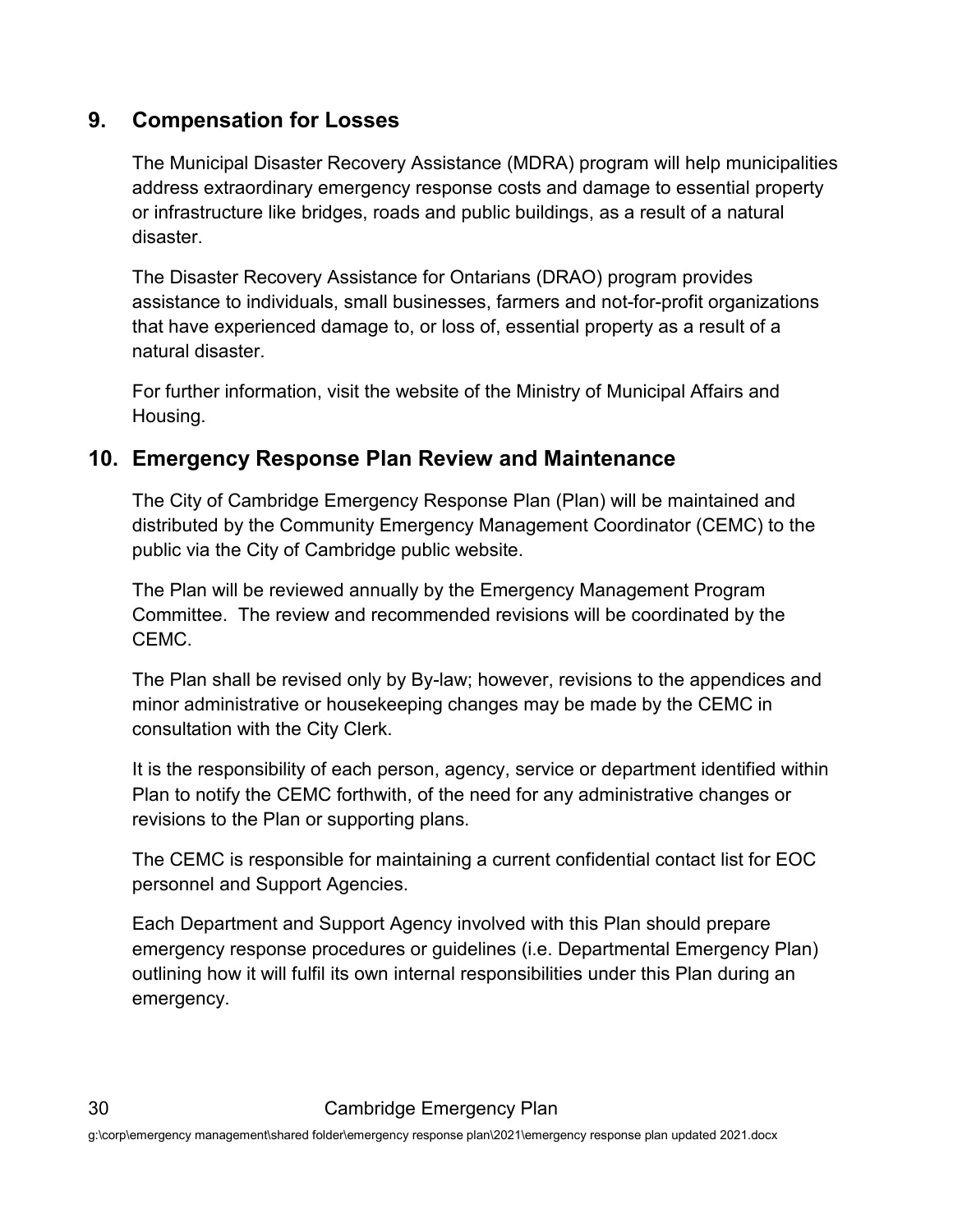#### <span id="page-32-0"></span>**9. Compensation for Losses**

The Municipal Disaster Recovery Assistance (MDRA) program will help municipalities address extraordinary emergency response costs and damage to essential property or infrastructure like bridges, roads and public buildings, as a result of a natural disaster.

The Disaster Recovery Assistance for Ontarians (DRAO) program provides assistance to individuals, small businesses, farmers and not-for-profit organizations that have experienced damage to, or loss of, essential property as a result of a natural disaster.

For further information, visit the website of the Ministry of Municipal Affairs and Housing.

#### <span id="page-32-1"></span>**10. Emergency Response Plan Review and Maintenance**

The City of Cambridge Emergency Response Plan (Plan) will be maintained and distributed by the Community Emergency Management Coordinator (CEMC) to the public via the City of Cambridge public website.

The Plan will be reviewed annually by the Emergency Management Program Committee. The review and recommended revisions will be coordinated by the CEMC.

The Plan shall be revised only by By-law; however, revisions to the appendices and minor administrative or housekeeping changes may be made by the CEMC in consultation with the City Clerk.

It is the responsibility of each person, agency, service or department identified within Plan to notify the CEMC forthwith, of the need for any administrative changes or revisions to the Plan or supporting plans.

The CEMC is responsible for maintaining a current confidential contact list for EOC personnel and Support Agencies.

Each Department and Support Agency involved with this Plan should prepare emergency response procedures or guidelines (i.e. Departmental Emergency Plan) outlining how it will fulfil its own internal responsibilities under this Plan during an emergency.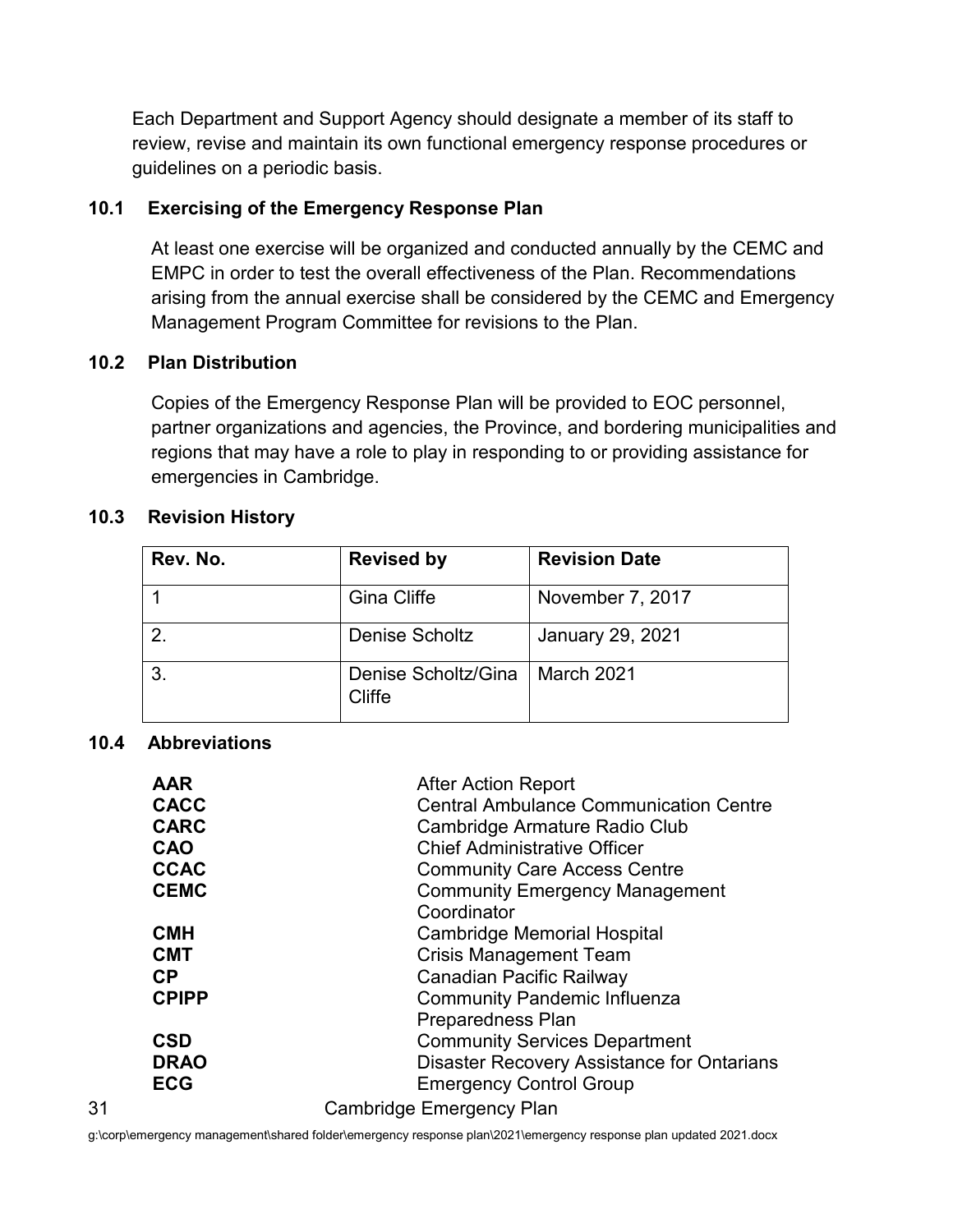Each Department and Support Agency should designate a member of its staff to review, revise and maintain its own functional emergency response procedures or guidelines on a periodic basis.

#### <span id="page-33-0"></span>**10.1 Exercising of the Emergency Response Plan**

At least one exercise will be organized and conducted annually by the CEMC and EMPC in order to test the overall effectiveness of the Plan. Recommendations arising from the annual exercise shall be considered by the CEMC and Emergency Management Program Committee for revisions to the Plan.

#### <span id="page-33-1"></span>**10.2 Plan Distribution**

Copies of the Emergency Response Plan will be provided to EOC personnel, partner organizations and agencies, the Province, and bordering municipalities and regions that may have a role to play in responding to or providing assistance for emergencies in Cambridge.

#### <span id="page-33-2"></span>**10.3 Revision History**

| Rev. No. | <b>Revised by</b>             | <b>Revision Date</b>    |
|----------|-------------------------------|-------------------------|
|          | <b>Gina Cliffe</b>            | November 7, 2017        |
|          | <b>Denise Scholtz</b>         | <b>January 29, 2021</b> |
| 3        | Denise Scholtz/Gina<br>Cliffe | March 2021              |

#### <span id="page-33-3"></span>**10.4 Abbreviations**

| <b>AAR</b><br><b>CACC</b><br><b>CARC</b><br><b>CAO</b><br><b>CCAC</b><br><b>CEMC</b> | <b>After Action Report</b><br><b>Central Ambulance Communication Centre</b><br>Cambridge Armature Radio Club<br><b>Chief Administrative Officer</b><br><b>Community Care Access Centre</b><br><b>Community Emergency Management</b><br>Coordinator |
|--------------------------------------------------------------------------------------|----------------------------------------------------------------------------------------------------------------------------------------------------------------------------------------------------------------------------------------------------|
| <b>CMH</b>                                                                           | Cambridge Memorial Hospital                                                                                                                                                                                                                        |
| <b>CMT</b>                                                                           | <b>Crisis Management Team</b>                                                                                                                                                                                                                      |
| <b>CP</b>                                                                            | Canadian Pacific Railway                                                                                                                                                                                                                           |
| <b>CPIPP</b>                                                                         | <b>Community Pandemic Influenza</b>                                                                                                                                                                                                                |
|                                                                                      | <b>Preparedness Plan</b>                                                                                                                                                                                                                           |
| <b>CSD</b>                                                                           | <b>Community Services Department</b>                                                                                                                                                                                                               |
| <b>DRAO</b>                                                                          | Disaster Recovery Assistance for Ontarians                                                                                                                                                                                                         |
| <b>ECG</b>                                                                           | <b>Emergency Control Group</b>                                                                                                                                                                                                                     |
| 31                                                                                   | Cambridge Emergency Plan                                                                                                                                                                                                                           |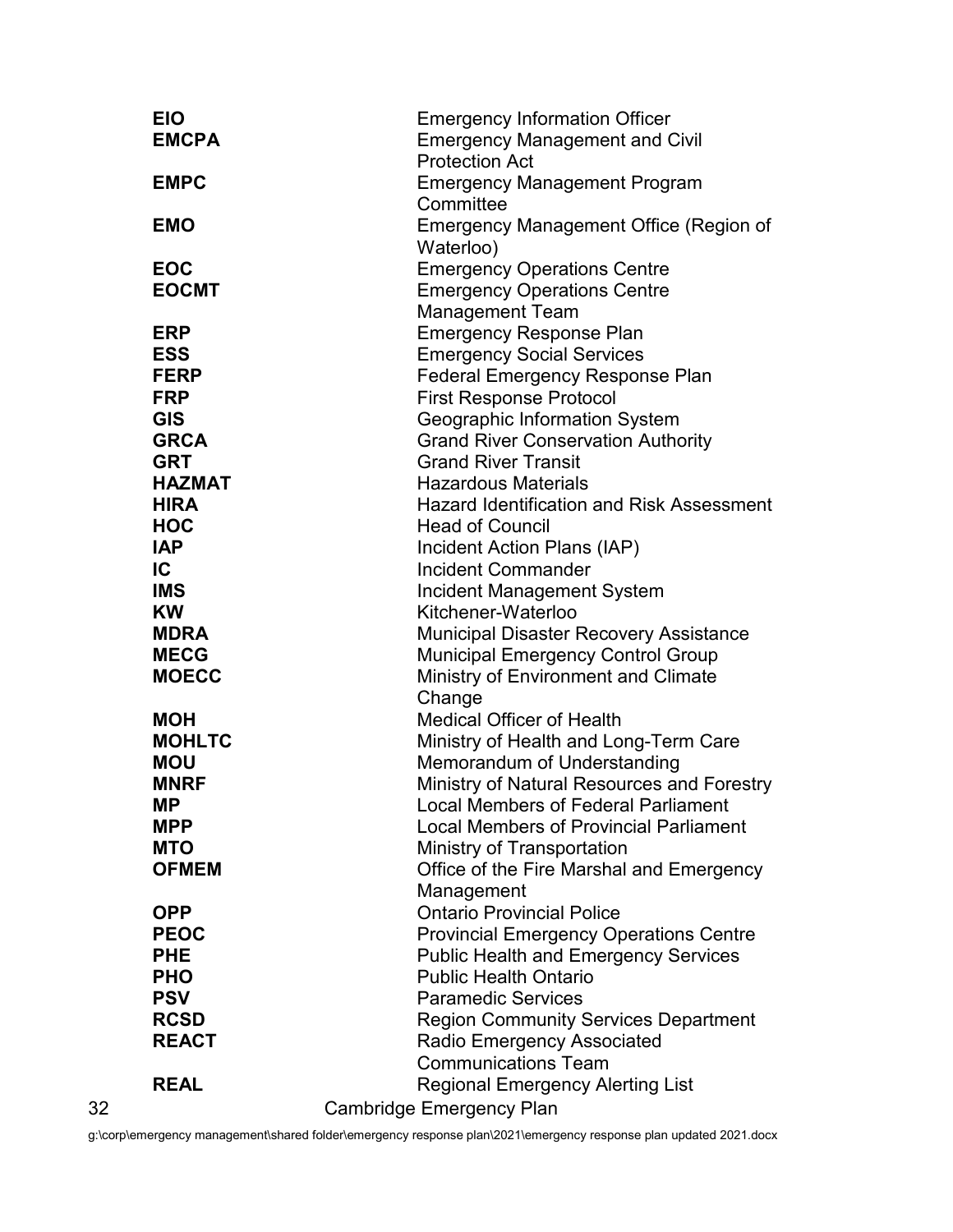|    | <b>EIO</b>                  | <b>Emergency Information Officer</b>                         |
|----|-----------------------------|--------------------------------------------------------------|
|    | <b>EMCPA</b>                | <b>Emergency Management and Civil</b>                        |
|    |                             | <b>Protection Act</b>                                        |
|    | <b>EMPC</b>                 | <b>Emergency Management Program</b>                          |
|    |                             | Committee                                                    |
|    | <b>EMO</b>                  | <b>Emergency Management Office (Region of</b>                |
|    |                             | Waterloo)                                                    |
|    | <b>EOC</b><br><b>EOCMT</b>  | <b>Emergency Operations Centre</b>                           |
|    |                             | <b>Emergency Operations Centre</b><br><b>Management Team</b> |
|    | <b>ERP</b>                  | <b>Emergency Response Plan</b>                               |
|    | <b>ESS</b>                  | <b>Emergency Social Services</b>                             |
|    | <b>FERP</b>                 | <b>Federal Emergency Response Plan</b>                       |
|    | <b>FRP</b>                  | <b>First Response Protocol</b>                               |
|    | <b>GIS</b>                  | Geographic Information System                                |
|    | <b>GRCA</b>                 | <b>Grand River Conservation Authority</b>                    |
|    | <b>GRT</b>                  | <b>Grand River Transit</b>                                   |
|    | <b>HAZMAT</b>               | <b>Hazardous Materials</b>                                   |
|    | <b>HIRA</b>                 | <b>Hazard Identification and Risk Assessment</b>             |
|    | <b>HOC</b>                  | <b>Head of Council</b>                                       |
|    | <b>IAP</b>                  | Incident Action Plans (IAP)                                  |
|    | $\overline{C}$              | <b>Incident Commander</b>                                    |
|    | <b>IMS</b>                  | Incident Management System                                   |
|    | <b>KW</b>                   | Kitchener-Waterloo                                           |
|    | <b>MDRA</b>                 | Municipal Disaster Recovery Assistance                       |
|    | <b>MECG</b>                 | <b>Municipal Emergency Control Group</b>                     |
|    | <b>MOECC</b>                | Ministry of Environment and Climate                          |
|    |                             | Change<br><b>Medical Officer of Health</b>                   |
|    | <b>MOH</b><br><b>MOHLTC</b> | Ministry of Health and Long-Term Care                        |
|    | <b>MOU</b>                  | Memorandum of Understanding                                  |
|    | <b>MNRF</b>                 | Ministry of Natural Resources and Forestry                   |
|    | МP                          | <b>Local Members of Federal Parliament</b>                   |
|    | <b>MPP</b>                  | <b>Local Members of Provincial Parliament</b>                |
|    | <b>MTO</b>                  | Ministry of Transportation                                   |
|    | <b>OFMEM</b>                | Office of the Fire Marshal and Emergency                     |
|    |                             | Management                                                   |
|    | <b>OPP</b>                  | <b>Ontario Provincial Police</b>                             |
|    | <b>PEOC</b>                 | <b>Provincial Emergency Operations Centre</b>                |
|    | <b>PHE</b>                  | <b>Public Health and Emergency Services</b>                  |
|    | <b>PHO</b>                  | <b>Public Health Ontario</b>                                 |
|    | <b>PSV</b>                  | <b>Paramedic Services</b>                                    |
|    | <b>RCSD</b>                 | <b>Region Community Services Department</b>                  |
|    | <b>REACT</b>                | <b>Radio Emergency Associated</b>                            |
|    |                             | <b>Communications Team</b>                                   |
|    | <b>REAL</b>                 | <b>Regional Emergency Alerting List</b>                      |
| 32 |                             | <b>Cambridge Emergency Plan</b>                              |